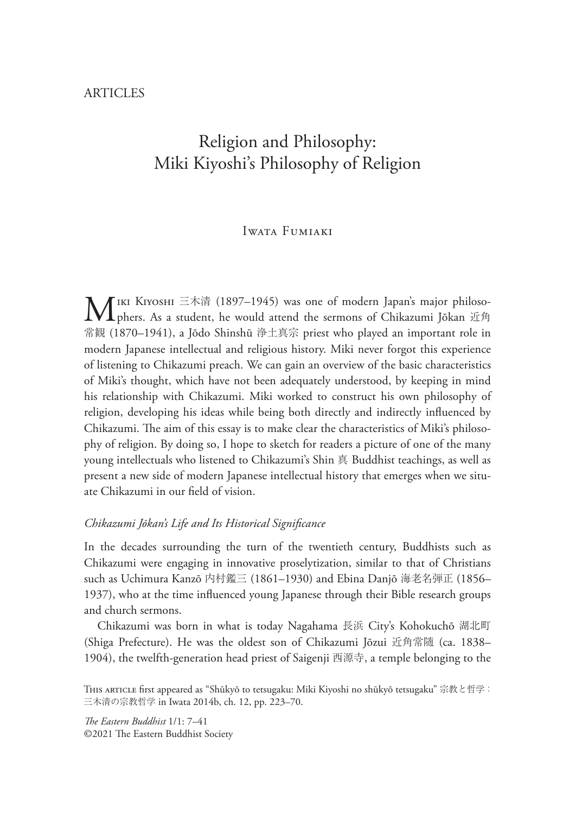# Religion and Philosophy: Miki Kiyoshi's Philosophy of Religion

# Iwata Fumiaki

 $\mathbf{M}$ IKI KIYOSHI 三木清 (1897–1945) was one of modern Japan's major philoso-<br>phers. As a student, he would attend the sermons of Chikazumi Jōkan 近角 常観 (1870–1941), a Jōdo Shinshū 浄土真宗 priest who played an important role in modern Japanese intellectual and religious history. Miki never forgot this experience of listening to Chikazumi preach. We can gain an overview of the basic characteristics of Miki's thought, which have not been adequately understood, by keeping in mind his relationship with Chikazumi. Miki worked to construct his own philosophy of religion, developing his ideas while being both directly and indirectly influenced by Chikazumi. The aim of this essay is to make clear the characteristics of Miki's philosophy of religion. By doing so, I hope to sketch for readers a picture of one of the many young intellectuals who listened to Chikazumi's Shin 真 Buddhist teachings, as well as present a new side of modern Japanese intellectual history that emerges when we situate Chikazumi in our field of vision.

## *Chikazumi Jōkan's Life and Its Historical Signi)cance*

In the decades surrounding the turn of the twentieth century, Buddhists such as Chikazumi were engaging in innovative proselytization, similar to that of Christians such as Uchimura Kanzō 内村鑑三 (1861–1930) and Ebina Danjō 海老名弾正 (1856– 1937), who at the time influenced young Japanese through their Bible research groups and church sermons.

Chikazumi was born in what is today Nagahama 長浜 City's Kohokuchō 湖北町 (Shiga Prefecture). He was the oldest son of Chikazumi Jōzui 近角常随 (ca. 1838– 1904), the twelfth-generation head priest of Saigenji 西源寺, a temple belonging to the

*!e Eastern Buddhist* 1/1: 7–41 ©2021 The Eastern Buddhist Society

This ARTICLE first appeared as "Shūkyō to tetsugaku: Miki Kiyoshi no shūkyō tetsugaku" 宗教と哲学: 三木清の宗教哲学 in Iwata 2014b, ch. 12, pp. 223–70.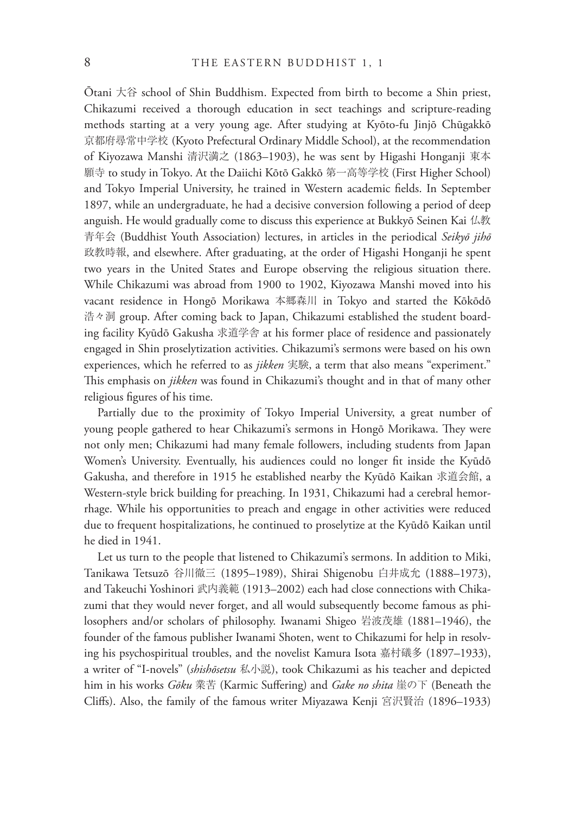Ōtani 大谷 school of Shin Buddhism. Expected from birth to become a Shin priest, Chikazumi received a thorough education in sect teachings and scripture-reading methods starting at a very young age. After studying at Kyōto-fu Jinjō Chūgakkō 京都府尋常中学校 (Kyoto Prefectural Ordinary Middle School), at the recommendation of Kiyozawa Manshi 清沢満之 (1863–1903), he was sent by Higashi Honganji 東本 願寺 to study in Tokyo. At the Daiichi Kōtō Gakkō 第一高等学校 (First Higher School) and Tokyo Imperial University, he trained in Western academic fields. In September 1897, while an undergraduate, he had a decisive conversion following a period of deep anguish. He would gradually come to discuss this experience at Bukkyō Seinen Kai 仏教 青年会 (Buddhist Youth Association) lectures, in articles in the periodical *Seikyō jihō* 政教時報, and elsewhere. After graduating, at the order of Higashi Honganji he spent two years in the United States and Europe observing the religious situation there. While Chikazumi was abroad from 1900 to 1902, Kiyozawa Manshi moved into his vacant residence in Hongō Morikawa 本郷森川 in Tokyo and started the Kōkōdō 浩々洞 group. After coming back to Japan, Chikazumi established the student boarding facility Kyūdō Gakusha 求道学舎 at his former place of residence and passionately engaged in Shin proselytization activities. Chikazumi's sermons were based on his own experiences, which he referred to as *jikken* 実験, a term that also means "experiment." This emphasis on *jikken* was found in Chikazumi's thought and in that of many other religious figures of his time.

Partially due to the proximity of Tokyo Imperial University, a great number of young people gathered to hear Chikazumi's sermons in Hongō Morikawa. They were not only men; Chikazumi had many female followers, including students from Japan Women's University. Eventually, his audiences could no longer fit inside the Kyūdō Gakusha, and therefore in 1915 he established nearby the Kyūdō Kaikan 求道会館, a Western-style brick building for preaching. In 1931, Chikazumi had a cerebral hemorrhage. While his opportunities to preach and engage in other activities were reduced due to frequent hospitalizations, he continued to proselytize at the Kyūdō Kaikan until he died in 1941.

Let us turn to the people that listened to Chikazumi's sermons. In addition to Miki, Tanikawa Tetsuzō 谷川徹三 (1895–1989), Shirai Shigenobu 白井成允 (1888–1973), and Takeuchi Yoshinori 武内義範 (1913–2002) each had close connections with Chikazumi that they would never forget, and all would subsequently become famous as philosophers and/or scholars of philosophy. Iwanami Shigeo 岩波茂雄 (1881–1946), the founder of the famous publisher Iwanami Shoten, went to Chikazumi for help in resolving his psychospiritual troubles, and the novelist Kamura Isota 嘉村礒多 (1897–1933), a writer of "I-novels" (*shishōsetsu* 私小説), took Chikazumi as his teacher and depicted him in his works *Gōku* 業苦 (Karmic Suffering) and *Gake no shita* 崖の下 (Beneath the Cliffs). Also, the family of the famous writer Miyazawa Kenji 宮沢賢治 (1896–1933)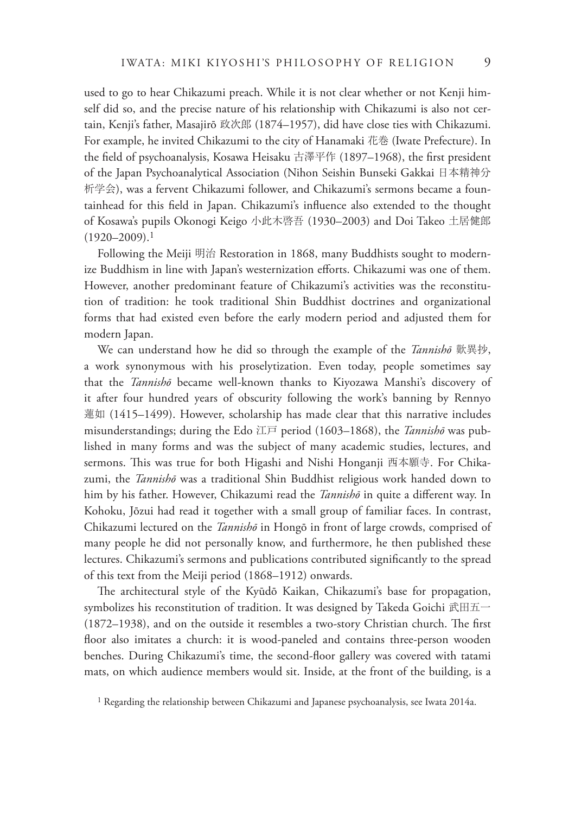used to go to hear Chikazumi preach. While it is not clear whether or not Kenji himself did so, and the precise nature of his relationship with Chikazumi is also not certain, Kenji's father, Masajirō 政次郎 (1874–1957), did have close ties with Chikazumi. For example, he invited Chikazumi to the city of Hanamaki 花巻 (Iwate Prefecture). In the field of psychoanalysis, Kosawa Heisaku 古澤平作 (1897–1968), the first president of the Japan Psychoanalytical Association (Nihon Seishin Bunseki Gakkai 日本精神分 析学会), was a fervent Chikazumi follower, and Chikazumi's sermons became a fountainhead for this field in Japan. Chikazumi's influence also extended to the thought of Kosawa's pupils Okonogi Keigo 小此木啓吾 (1930–2003) and Doi Takeo 土居健郎  $(1920 - 2009).$ <sup>1</sup>

Following the Meiji 明治 Restoration in 1868, many Buddhists sought to modernize Buddhism in line with Japan's westernization efforts. Chikazumi was one of them. However, another predominant feature of Chikazumi's activities was the reconstitution of tradition: he took traditional Shin Buddhist doctrines and organizational forms that had existed even before the early modern period and adjusted them for modern Japan.

We can understand how he did so through the example of the *Tannishō* 歎異抄, a work synonymous with his proselytization. Even today, people sometimes say that the *Tannishō* became well-known thanks to Kiyozawa Manshi's discovery of it after four hundred years of obscurity following the work's banning by Rennyo 蓮如 (1415–1499). However, scholarship has made clear that this narrative includes misunderstandings; during the Edo 江戸 period (1603–1868), the *Tannishō* was published in many forms and was the subject of many academic studies, lectures, and sermons. This was true for both Higashi and Nishi Honganji 西本願寺. For Chikazumi, the *Tannishō* was a traditional Shin Buddhist religious work handed down to him by his father. However, Chikazumi read the *Tannishō* in quite a different way. In Kohoku, Jōzui had read it together with a small group of familiar faces. In contrast, Chikazumi lectured on the *Tannishō* in Hongō in front of large crowds, comprised of many people he did not personally know, and furthermore, he then published these lectures. Chikazumi's sermons and publications contributed significantly to the spread of this text from the Meiji period (1868–1912) onwards.

The architectural style of the Kyūdō Kaikan, Chikazumi's base for propagation, symbolizes his reconstitution of tradition. It was designed by Takeda Goichi 武田五一  $(1872–1938)$ , and on the outside it resembles a two-story Christian church. The first floor also imitates a church: it is wood-paneled and contains three-person wooden benches. During Chikazumi's time, the second-floor gallery was covered with tatami mats, on which audience members would sit. Inside, at the front of the building, is a

<sup>&</sup>lt;sup>1</sup> Regarding the relationship between Chikazumi and Japanese psychoanalysis, see Iwata 2014a.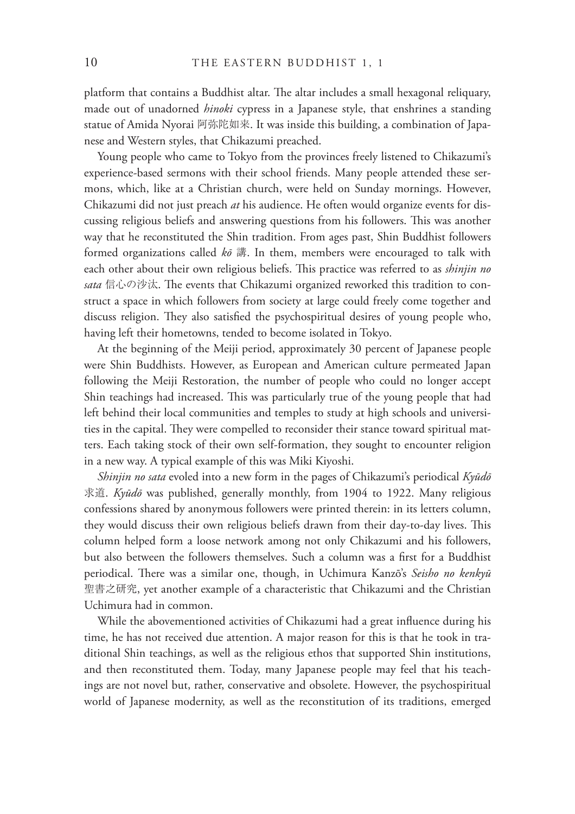platform that contains a Buddhist altar. The altar includes a small hexagonal reliquary, made out of unadorned *hinoki* cypress in a Japanese style, that enshrines a standing statue of Amida Nyorai 阿弥陀如来. It was inside this building, a combination of Japanese and Western styles, that Chikazumi preached.

Young people who came to Tokyo from the provinces freely listened to Chikazumi's experience-based sermons with their school friends. Many people attended these sermons, which, like at a Christian church, were held on Sunday mornings. However, Chikazumi did not just preach *at* his audience. He often would organize events for discussing religious beliefs and answering questions from his followers. This was another way that he reconstituted the Shin tradition. From ages past, Shin Buddhist followers formed organizations called *kō* 講. In them, members were encouraged to talk with each other about their own religious beliefs. This practice was referred to as *shinjin no* sata 信心の沙汰. The events that Chikazumi organized reworked this tradition to construct a space in which followers from society at large could freely come together and discuss religion. They also satisfied the psychospiritual desires of young people who, having left their hometowns, tended to become isolated in Tokyo.

At the beginning of the Meiji period, approximately 30 percent of Japanese people were Shin Buddhists. However, as European and American culture permeated Japan following the Meiji Restoration, the number of people who could no longer accept Shin teachings had increased. This was particularly true of the young people that had left behind their local communities and temples to study at high schools and universities in the capital. They were compelled to reconsider their stance toward spiritual matters. Each taking stock of their own self-formation, they sought to encounter religion in a new way. A typical example of this was Miki Kiyoshi.

*Shinjin no sata* evoled into a new form in the pages of Chikazumi's periodical *Kyūdō* 求道. *Kyūdō* was published, generally monthly, from 1904 to 1922. Many religious confessions shared by anonymous followers were printed therein: in its letters column, they would discuss their own religious beliefs drawn from their day-to-day lives. This column helped form a loose network among not only Chikazumi and his followers, but also between the followers themselves. Such a column was a first for a Buddhist periodical. There was a similar one, though, in Uchimura Kanzō's Seisho no kenkyū 聖書之研究, yet another example of a characteristic that Chikazumi and the Christian Uchimura had in common.

While the abovementioned activities of Chikazumi had a great influence during his time, he has not received due attention. A major reason for this is that he took in traditional Shin teachings, as well as the religious ethos that supported Shin institutions, and then reconstituted them. Today, many Japanese people may feel that his teachings are not novel but, rather, conservative and obsolete. However, the psychospiritual world of Japanese modernity, as well as the reconstitution of its traditions, emerged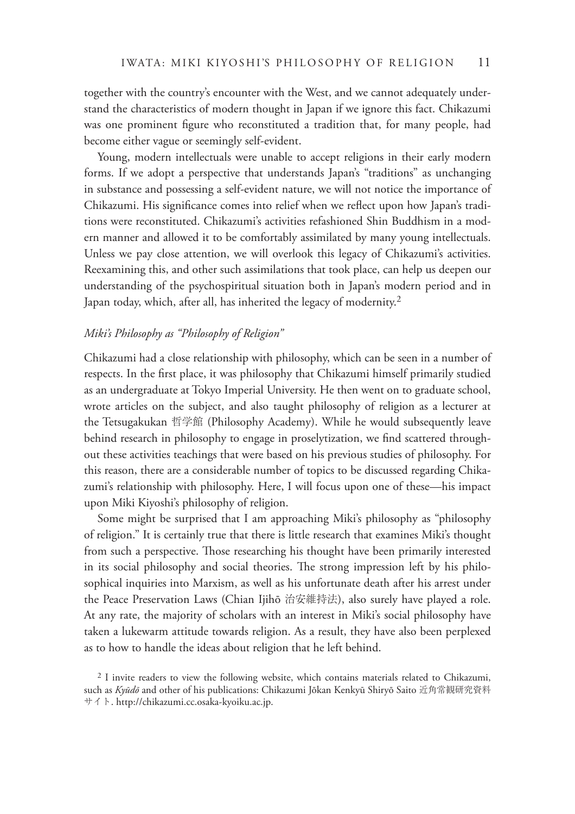together with the country's encounter with the West, and we cannot adequately understand the characteristics of modern thought in Japan if we ignore this fact. Chikazumi was one prominent figure who reconstituted a tradition that, for many people, had become either vague or seemingly self-evident.

Young, modern intellectuals were unable to accept religions in their early modern forms. If we adopt a perspective that understands Japan's "traditions" as unchanging in substance and possessing a self-evident nature, we will not notice the importance of Chikazumi. His significance comes into relief when we reflect upon how Japan's traditions were reconstituted. Chikazumi's activities refashioned Shin Buddhism in a modern manner and allowed it to be comfortably assimilated by many young intellectuals. Unless we pay close attention, we will overlook this legacy of Chikazumi's activities. Reexamining this, and other such assimilations that took place, can help us deepen our understanding of the psychospiritual situation both in Japan's modern period and in Japan today, which, after all, has inherited the legacy of modernity.<sup>2</sup>

#### *Miki's Philosophy as "Philosophy of Religion"*

Chikazumi had a close relationship with philosophy, which can be seen in a number of respects. In the first place, it was philosophy that Chikazumi himself primarily studied as an undergraduate at Tokyo Imperial University. He then went on to graduate school, wrote articles on the subject, and also taught philosophy of religion as a lecturer at the Tetsugakukan 哲学館 (Philosophy Academy). While he would subsequently leave behind research in philosophy to engage in proselytization, we find scattered throughout these activities teachings that were based on his previous studies of philosophy. For this reason, there are a considerable number of topics to be discussed regarding Chikazumi's relationship with philosophy. Here, I will focus upon one of these—his impact upon Miki Kiyoshi's philosophy of religion.

Some might be surprised that I am approaching Miki's philosophy as "philosophy of religion." It is certainly true that there is little research that examines Miki's thought from such a perspective. Those researching his thought have been primarily interested in its social philosophy and social theories. The strong impression left by his philosophical inquiries into Marxism, as well as his unfortunate death after his arrest under the Peace Preservation Laws (Chian Ijihō 治安維持法), also surely have played a role. At any rate, the majority of scholars with an interest in Miki's social philosophy have taken a lukewarm attitude towards religion. As a result, they have also been perplexed as to how to handle the ideas about religion that he left behind.

<sup>&</sup>lt;sup>2</sup> I invite readers to view the following website, which contains materials related to Chikazumi, such as *Kyūdō* and other of his publications: Chikazumi Jōkan Kenkyū Shiryō Saito 近角常観研究資料 サイト. http://chikazumi.cc.osaka-kyoiku.ac.jp.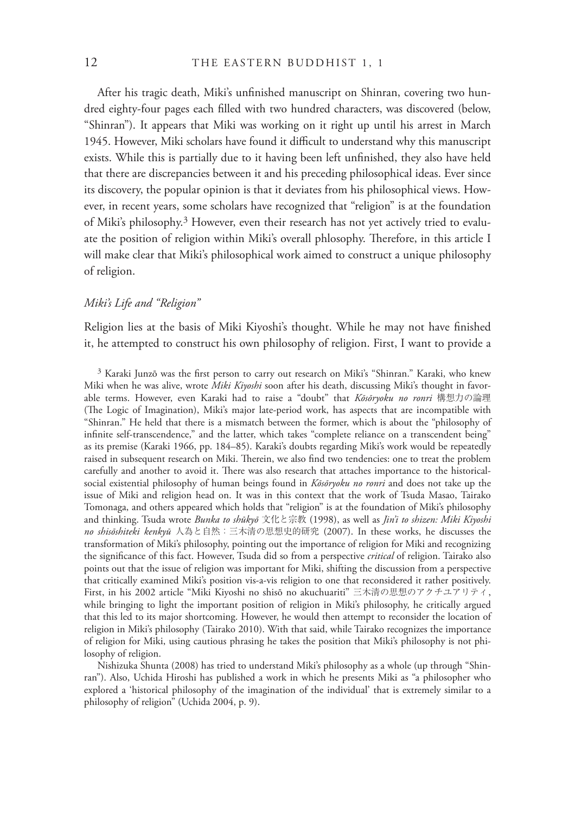After his tragic death, Miki's unfinished manuscript on Shinran, covering two hundred eighty-four pages each filled with two hundred characters, was discovered (below, "Shinran"). It appears that Miki was working on it right up until his arrest in March 1945. However, Miki scholars have found it difficult to understand why this manuscript exists. While this is partially due to it having been left unfinished, they also have held that there are discrepancies between it and his preceding philosophical ideas. Ever since its discovery, the popular opinion is that it deviates from his philosophical views. However, in recent years, some scholars have recognized that "religion" is at the foundation of Miki's philosophy.<sup>3</sup> However, even their research has not yet actively tried to evaluate the position of religion within Miki's overall phlosophy. Therefore, in this article I will make clear that Miki's philosophical work aimed to construct a unique philosophy of religion.

### *Miki's Life and "Religion"*

Religion lies at the basis of Miki Kiyoshi's thought. While he may not have finished it, he attempted to construct his own philosophy of religion. First, I want to provide a

 $3$  Karaki Junzō was the first person to carry out research on Miki's "Shinran." Karaki, who knew Miki when he was alive, wrote *Miki Kiyoshi* soon after his death, discussing Miki's thought in favorable terms. However, even Karaki had to raise a "doubt" that *Kōsōryoku no ronri* 構想力の論理 (The Logic of Imagination), Miki's major late-period work, has aspects that are incompatible with "Shinran." He held that there is a mismatch between the former, which is about the "philosophy of infinite self-transcendence," and the latter, which takes "complete reliance on a transcendent being" as its premise (Karaki 1966, pp. 184–85). Karaki's doubts regarding Miki's work would be repeatedly raised in subsequent research on Miki. Therein, we also find two tendencies: one to treat the problem carefully and another to avoid it. There was also research that attaches importance to the historicalsocial existential philosophy of human beings found in *Kōsōryoku no ronri* and does not take up the issue of Miki and religion head on. It was in this context that the work of Tsuda Masao, Tairako Tomonaga, and others appeared which holds that "religion" is at the foundation of Miki's philosophy and thinking. Tsuda wrote *Bunka to shūkyō* 文化と宗教 (1998), as well as *Jin'i to shizen: Miki Kiyoshi no shisōshiteki kenkyū* 人為と自然:三木清の思想史的研究 (2007). In these works, he discusses the transformation of Miki's philosophy, pointing out the importance of religion for Miki and recognizing the significance of this fact. However, Tsuda did so from a perspective *critical* of religion. Tairako also points out that the issue of religion was important for Miki, shifting the discussion from a perspective that critically examined Miki's position vis-a-vis religion to one that reconsidered it rather positively. First, in his 2002 article "Miki Kiyoshi no shisō no akuchuariti" 三木清の思想のアクチユアリティ, while bringing to light the important position of religion in Miki's philosophy, he critically argued that this led to its major shortcoming. However, he would then attempt to reconsider the location of religion in Miki's philosophy (Tairako 2010). With that said, while Tairako recognizes the importance of religion for Miki, using cautious phrasing he takes the position that Miki's philosophy is not philosophy of religion.

Nishizuka Shunta (2008) has tried to understand Miki's philosophy as a whole (up through "Shinran"). Also, Uchida Hiroshi has published a work in which he presents Miki as "a philosopher who explored a 'historical philosophy of the imagination of the individual' that is extremely similar to a philosophy of religion" (Uchida 2004, p. 9).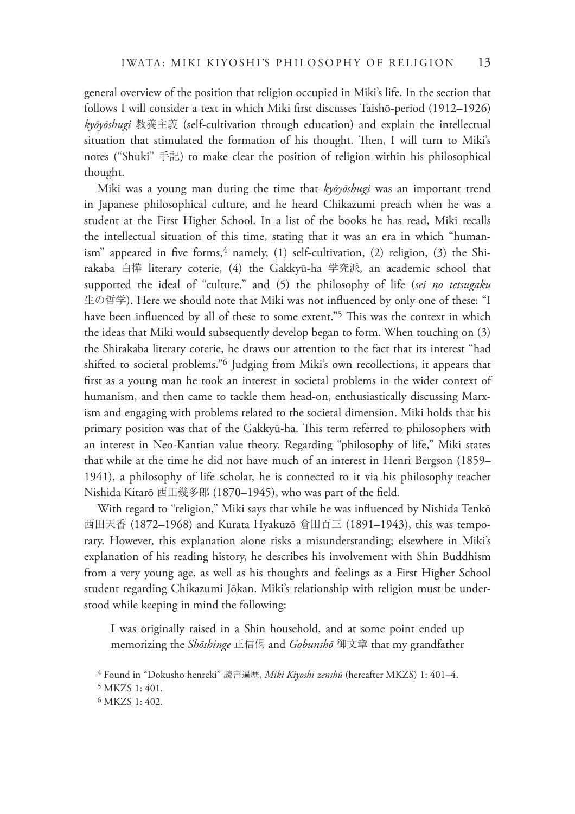general overview of the position that religion occupied in Miki's life. In the section that follows I will consider a text in which Miki first discusses Taishō-period (1912–1926) *kyōyōshugi* 教養主義 (self-cultivation through education) and explain the intellectual situation that stimulated the formation of his thought. Then, I will turn to Miki's notes ("Shuki" 手記) to make clear the position of religion within his philosophical thought.

Miki was a young man during the time that *kyōyōshugi* was an important trend in Japanese philosophical culture, and he heard Chikazumi preach when he was a student at the First Higher School. In a list of the books he has read, Miki recalls the intellectual situation of this time, stating that it was an era in which "humanism" appeared in five forms, $4$  namely, (1) self-cultivation, (2) religion, (3) the Shirakaba 白樺 literary coterie, (4) the Gakkyū-ha 学究派*,* an academic school that supported the ideal of "culture," and (5) the philosophy of life (*sei no tetsugaku* 生の哲学). Here we should note that Miki was not influenced by only one of these: "I have been influenced by all of these to some extent."<sup>5</sup> This was the context in which the ideas that Miki would subsequently develop began to form. When touching on (3) the Shirakaba literary coterie, he draws our attention to the fact that its interest "had shifted to societal problems."6 Judging from Miki's own recollections, it appears that first as a young man he took an interest in societal problems in the wider context of humanism, and then came to tackle them head-on, enthusiastically discussing Marxism and engaging with problems related to the societal dimension. Miki holds that his primary position was that of the Gakkyū-ha. This term referred to philosophers with an interest in Neo-Kantian value theory. Regarding "philosophy of life," Miki states that while at the time he did not have much of an interest in Henri Bergson (1859– 1941), a philosophy of life scholar, he is connected to it via his philosophy teacher Nishida Kitarō 西田幾多郎 (1870–1945), who was part of the field.

With regard to "religion," Miki says that while he was influenced by Nishida Tenkō 西田天香 (1872–1968) and Kurata Hyakuzō 倉田百三 (1891–1943), this was temporary. However, this explanation alone risks a misunderstanding; elsewhere in Miki's explanation of his reading history, he describes his involvement with Shin Buddhism from a very young age, as well as his thoughts and feelings as a First Higher School student regarding Chikazumi Jōkan. Miki's relationship with religion must be understood while keeping in mind the following:

I was originally raised in a Shin household, and at some point ended up memorizing the *Shōshinge* 正信偈 and *Gobunshō* 御文章 that my grandfather

<sup>4</sup> Found in "Dokusho henreki" 読書遍歴, *Miki Kiyoshi zenshū* (hereafter MKZS) 1: 401–4.

<sup>5</sup> MKZS 1: 401.

<sup>6</sup> MKZS 1: 402.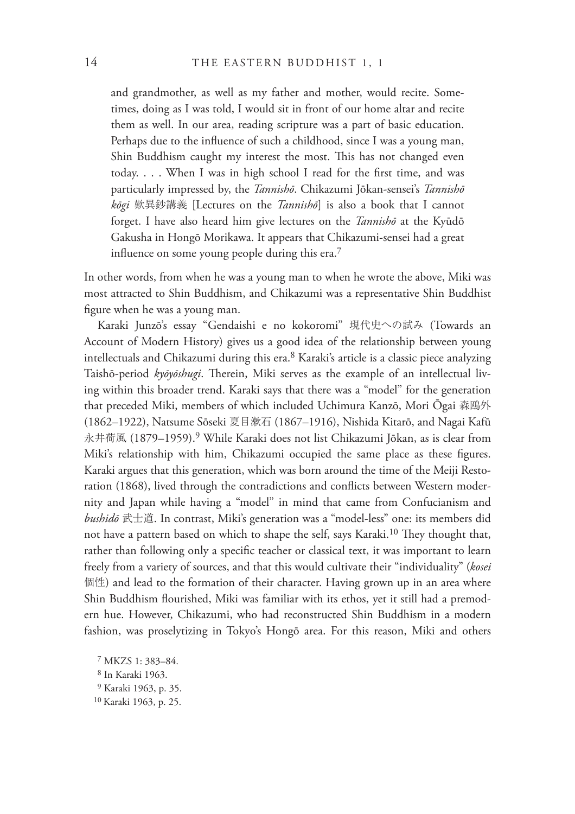and grandmother, as well as my father and mother, would recite. Sometimes, doing as I was told, I would sit in front of our home altar and recite them as well. In our area, reading scripture was a part of basic education. Perhaps due to the influence of such a childhood, since I was a young man, Shin Buddhism caught my interest the most. This has not changed even today. . . . When I was in high school I read for the first time, and was particularly impressed by, the *Tannishō*. Chikazumi Jōkan-sensei's *Tannishō kōgi* 歎異鈔講義 [Lectures on the *Tannishō*] is also a book that I cannot forget. I have also heard him give lectures on the *Tannishō* at the Kyūdō Gakusha in Hongō Morikawa. It appears that Chikazumi-sensei had a great influence on some young people during this era.<sup>7</sup>

In other words, from when he was a young man to when he wrote the above, Miki was most attracted to Shin Buddhism, and Chikazumi was a representative Shin Buddhist figure when he was a young man.

Karaki Junzō's essay "Gendaishi e no kokoromi" 現代史への試み (Towards an Account of Modern History) gives us a good idea of the relationship between young intellectuals and Chikazumi during this era.8 Karaki's article is a classic piece analyzing Taishō-period kyōyōshugi. Therein, Miki serves as the example of an intellectual living within this broader trend. Karaki says that there was a "model" for the generation that preceded Miki, members of which included Uchimura Kanzō, Mori Ōgai 森鴎外 (1862–1922), Natsume Sōseki 夏目漱石 (1867–1916), Nishida Kitarō, and Nagai Kafū 永井荷風 (1879–1959).9 While Karaki does not list Chikazumi Jōkan, as is clear from Miki's relationship with him, Chikazumi occupied the same place as these figures. Karaki argues that this generation, which was born around the time of the Meiji Restoration (1868), lived through the contradictions and conflicts between Western modernity and Japan while having a "model" in mind that came from Confucianism and *bushidō* 武士道. In contrast, Miki's generation was a "model-less" one: its members did not have a pattern based on which to shape the self, says Karaki.<sup>10</sup> They thought that, rather than following only a specific teacher or classical text, it was important to learn freely from a variety of sources, and that this would cultivate their "individuality" (*kosei* 個性) and lead to the formation of their character. Having grown up in an area where Shin Buddhism flourished, Miki was familiar with its ethos, yet it still had a premodern hue. However, Chikazumi, who had reconstructed Shin Buddhism in a modern fashion, was proselytizing in Tokyo's Hongō area. For this reason, Miki and others

<sup>7</sup> MKZS 1: 383–84. 8 In Karaki 1963. <sup>9</sup> Karaki 1963, p. 35. 10 Karaki 1963, p. 25.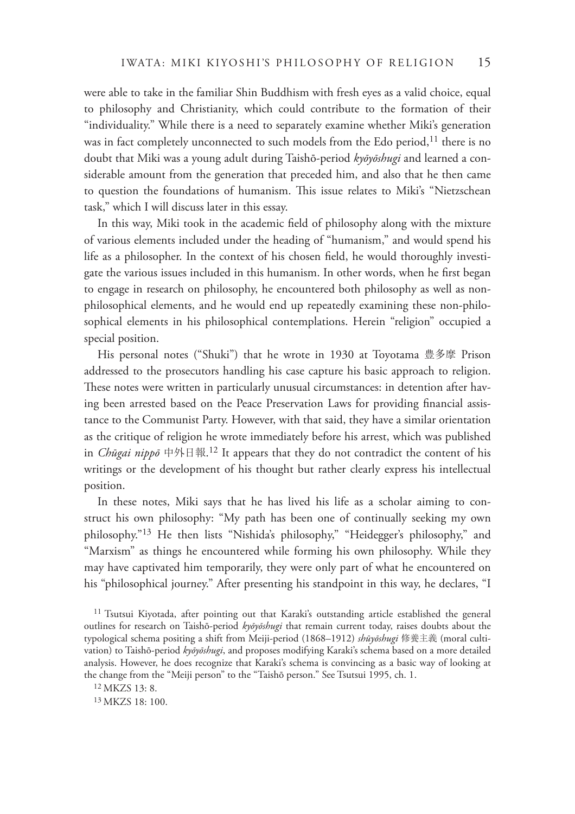were able to take in the familiar Shin Buddhism with fresh eyes as a valid choice, equal to philosophy and Christianity, which could contribute to the formation of their "individuality." While there is a need to separately examine whether Miki's generation was in fact completely unconnected to such models from the Edo period,<sup>11</sup> there is no doubt that Miki was a young adult during Taishō-period *kyōyōshugi* and learned a considerable amount from the generation that preceded him, and also that he then came to question the foundations of humanism. This issue relates to Miki's "Nietzschean task," which I will discuss later in this essay.

In this way, Miki took in the academic field of philosophy along with the mixture of various elements included under the heading of "humanism," and would spend his life as a philosopher. In the context of his chosen field, he would thoroughly investigate the various issues included in this humanism. In other words, when he first began to engage in research on philosophy, he encountered both philosophy as well as nonphilosophical elements, and he would end up repeatedly examining these non-philosophical elements in his philosophical contemplations. Herein "religion" occupied a special position.

His personal notes ("Shuki") that he wrote in 1930 at Toyotama 豊多摩 Prison addressed to the prosecutors handling his case capture his basic approach to religion. These notes were written in particularly unusual circumstances: in detention after having been arrested based on the Peace Preservation Laws for providing financial assistance to the Communist Party. However, with that said, they have a similar orientation as the critique of religion he wrote immediately before his arrest, which was published in *Chūgai nippō* 中外日報. 12 It appears that they do not contradict the content of his writings or the development of his thought but rather clearly express his intellectual position.

In these notes, Miki says that he has lived his life as a scholar aiming to construct his own philosophy: "My path has been one of continually seeking my own philosophy."13 He then lists "Nishida's philosophy," "Heidegger's philosophy," and "Marxism" as things he encountered while forming his own philosophy. While they may have captivated him temporarily, they were only part of what he encountered on his "philosophical journey." After presenting his standpoint in this way, he declares, "I

<sup>&</sup>lt;sup>11</sup> Tsutsui Kiyotada, after pointing out that Karaki's outstanding article established the general outlines for research on Taishō-period *kyōyōshugi* that remain current today, raises doubts about the typological schema positing a shift from Meiji-period (1868–1912) *shūyōshugi* 修養主義 (moral cultivation) to Taishō-period *kyōyōshugi*, and proposes modifying Karaki's schema based on a more detailed analysis. However, he does recognize that Karaki's schema is convincing as a basic way of looking at the change from the "Meiji person" to the "Taishō person." See Tsutsui 1995, ch. 1.

<sup>12</sup> MKZS 13: 8.

<sup>13</sup> MKZS 18: 100.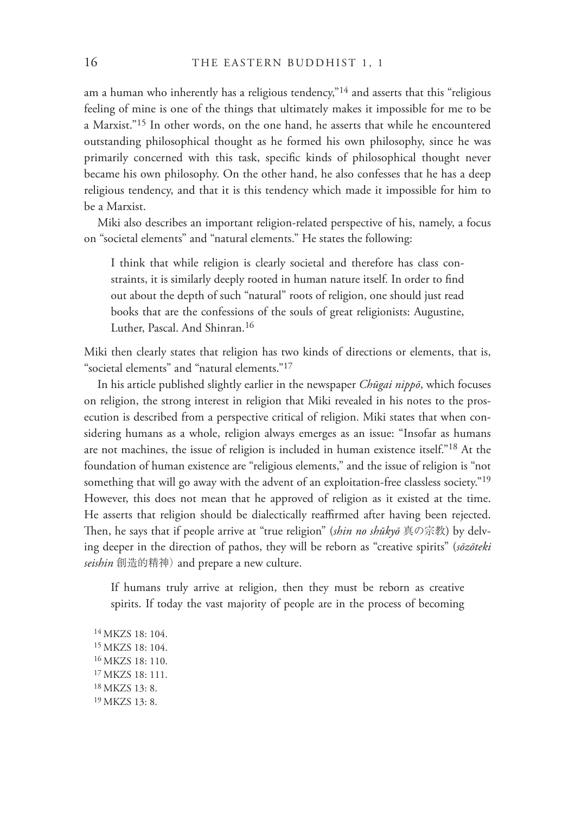am a human who inherently has a religious tendency,"<sup>14</sup> and asserts that this "religious" feeling of mine is one of the things that ultimately makes it impossible for me to be a Marxist."15 In other words, on the one hand, he asserts that while he encountered outstanding philosophical thought as he formed his own philosophy, since he was primarily concerned with this task, specific kinds of philosophical thought never became his own philosophy. On the other hand, he also confesses that he has a deep religious tendency, and that it is this tendency which made it impossible for him to be a Marxist.

Miki also describes an important religion-related perspective of his, namely, a focus on "societal elements" and "natural elements." He states the following:

I think that while religion is clearly societal and therefore has class constraints, it is similarly deeply rooted in human nature itself. In order to find out about the depth of such "natural" roots of religion, one should just read books that are the confessions of the souls of great religionists: Augustine, Luther, Pascal. And Shinran.16

Miki then clearly states that religion has two kinds of directions or elements, that is, "societal elements" and "natural elements."17

In his article published slightly earlier in the newspaper *Chūgai nippō*, which focuses on religion, the strong interest in religion that Miki revealed in his notes to the prosecution is described from a perspective critical of religion. Miki states that when considering humans as a whole, religion always emerges as an issue: "Insofar as humans are not machines, the issue of religion is included in human existence itself."18 At the foundation of human existence are "religious elements," and the issue of religion is "not something that will go away with the advent of an exploitation-free classless society."<sup>19</sup> However, this does not mean that he approved of religion as it existed at the time. He asserts that religion should be dialectically reaffirmed after having been rejected. !en, he says that if people arrive at "true religion" (*shin no shūkyō* 真の宗教) by delving deeper in the direction of pathos, they will be reborn as "creative spirits" (*sōzōteki seishin* 創造的精神) and prepare a new culture.

If humans truly arrive at religion, then they must be reborn as creative spirits. If today the vast majority of people are in the process of becoming

14 MKZS 18: 104. 15 MKZS 18: 104. 16 MKZS 18: 110. 17 MKZS 18: 111. 18 MKZS 13: 8. 19 MKZS 13: 8.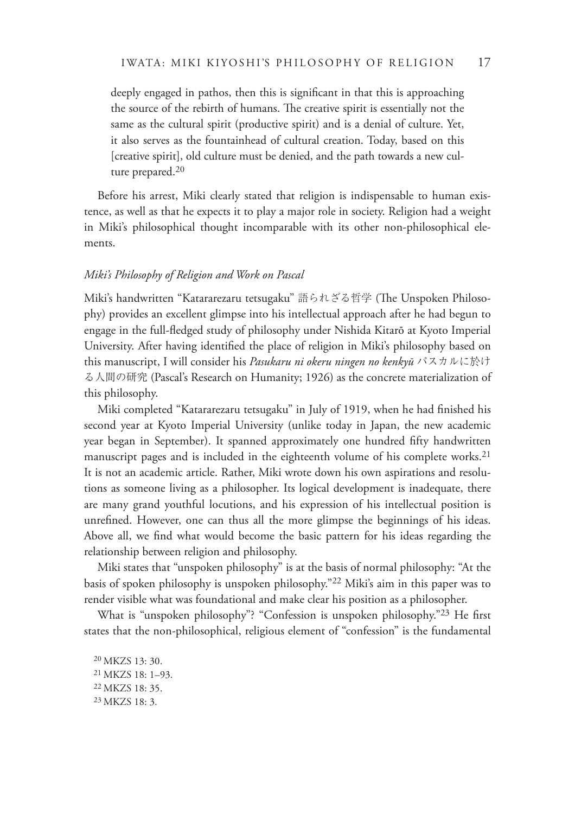deeply engaged in pathos, then this is significant in that this is approaching the source of the rebirth of humans. The creative spirit is essentially not the same as the cultural spirit (productive spirit) and is a denial of culture. Yet, it also serves as the fountainhead of cultural creation. Today, based on this [creative spirit], old culture must be denied, and the path towards a new culture prepared.20

Before his arrest, Miki clearly stated that religion is indispensable to human existence, as well as that he expects it to play a major role in society. Religion had a weight in Miki's philosophical thought incomparable with its other non-philosophical elements.

#### *Miki's Philosophy of Religion and Work on Pascal*

Miki's handwritten "Katararezaru tetsugaku" 語られざる哲学 (The Unspoken Philosophy) provides an excellent glimpse into his intellectual approach after he had begun to engage in the full-fledged study of philosophy under Nishida Kitarō at Kyoto Imperial University. After having identified the place of religion in Miki's philosophy based on this manuscript, I will consider his *Pasukaru ni okeru ningen no kenkyū* パスカルに於け る人間の研究 (Pascal's Research on Humanity; 1926) as the concrete materialization of this philosophy.

Miki completed "Katararezaru tetsugaku" in July of 1919, when he had finished his second year at Kyoto Imperial University (unlike today in Japan, the new academic year began in September). It spanned approximately one hundred fifty handwritten manuscript pages and is included in the eighteenth volume of his complete works.<sup>21</sup> It is not an academic article. Rather, Miki wrote down his own aspirations and resolutions as someone living as a philosopher. Its logical development is inadequate, there are many grand youthful locutions, and his expression of his intellectual position is unrefined. However, one can thus all the more glimpse the beginnings of his ideas. Above all, we find what would become the basic pattern for his ideas regarding the relationship between religion and philosophy.

Miki states that "unspoken philosophy" is at the basis of normal philosophy: "At the basis of spoken philosophy is unspoken philosophy."22 Miki's aim in this paper was to render visible what was foundational and make clear his position as a philosopher.

What is "unspoken philosophy"? "Confession is unspoken philosophy."<sup>23</sup> He first states that the non-philosophical, religious element of "confession" is the fundamental

20 MKZS 13: 30. 21 MKZS 18: 1–93. 22 MKZS 18: 35. 23 MKZS 18: 3.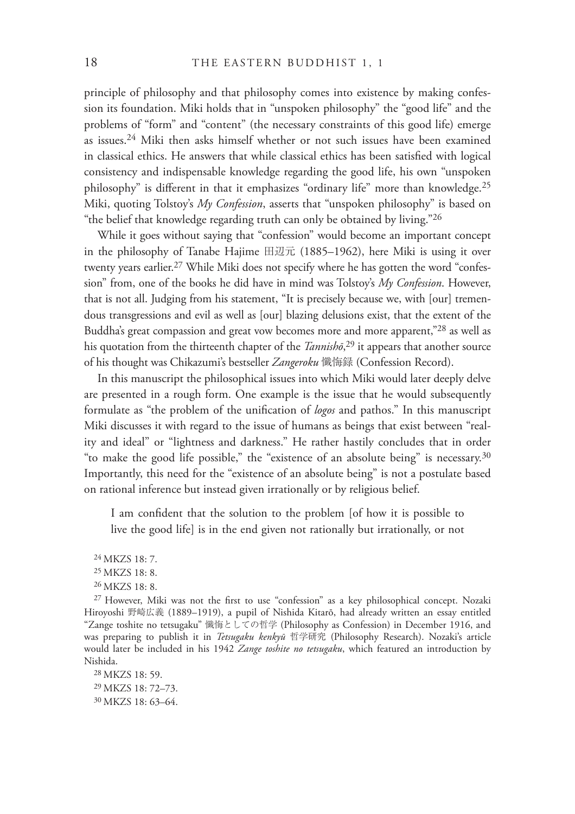principle of philosophy and that philosophy comes into existence by making confession its foundation. Miki holds that in "unspoken philosophy" the "good life" and the problems of "form" and "content" (the necessary constraints of this good life) emerge as issues.24 Miki then asks himself whether or not such issues have been examined in classical ethics. He answers that while classical ethics has been satisfied with logical consistency and indispensable knowledge regarding the good life, his own "unspoken philosophy" is different in that it emphasizes "ordinary life" more than knowledge.<sup>25</sup> Miki, quoting Tolstoy's *My Confession*, asserts that "unspoken philosophy" is based on "the belief that knowledge regarding truth can only be obtained by living."26

While it goes without saying that "confession" would become an important concept in the philosophy of Tanabe Hajime 田辺元 (1885–1962), here Miki is using it over twenty years earlier.<sup>27</sup> While Miki does not specify where he has gotten the word "confession" from, one of the books he did have in mind was Tolstoy's *My Confession*. However, that is not all. Judging from his statement, "It is precisely because we, with [our] tremendous transgressions and evil as well as [our] blazing delusions exist, that the extent of the Buddha's great compassion and great vow becomes more and more apparent,"28 as well as his quotation from the thirteenth chapter of the *Tannishō*, 29 it appears that another source of his thought was Chikazumi's bestseller *Zangeroku* 懺悔録 (Confession Record).

In this manuscript the philosophical issues into which Miki would later deeply delve are presented in a rough form. One example is the issue that he would subsequently formulate as "the problem of the unification of *logos* and pathos." In this manuscript Miki discusses it with regard to the issue of humans as beings that exist between "reality and ideal" or "lightness and darkness." He rather hastily concludes that in order "to make the good life possible," the "existence of an absolute being" is necessary.30 Importantly, this need for the "existence of an absolute being" is not a postulate based on rational inference but instead given irrationally or by religious belief.

I am confident that the solution to the problem [of how it is possible to live the good life] is in the end given not rationally but irrationally, or not

 $27$  However, Miki was not the first to use "confession" as a key philosophical concept. Nozaki Hiroyoshi 野崎広義 (1889–1919), a pupil of Nishida Kitarō, had already written an essay entitled "Zange toshite no tetsugaku" 懺悔としての哲学 (Philosophy as Confession) in December 1916, and was preparing to publish it in *Tetsugaku kenkyū* 哲学研究 (Philosophy Research). Nozaki's article would later be included in his 1942 *Zange toshite no tetsugaku*, which featured an introduction by Nishida.

28 MKZS 18: 59. 29 MKZS 18: 72–73. 30 MKZS 18: 63–64.

<sup>24</sup> MKZS 18: 7.

<sup>25</sup> MKZS 18: 8.

<sup>26</sup> MKZS 18: 8.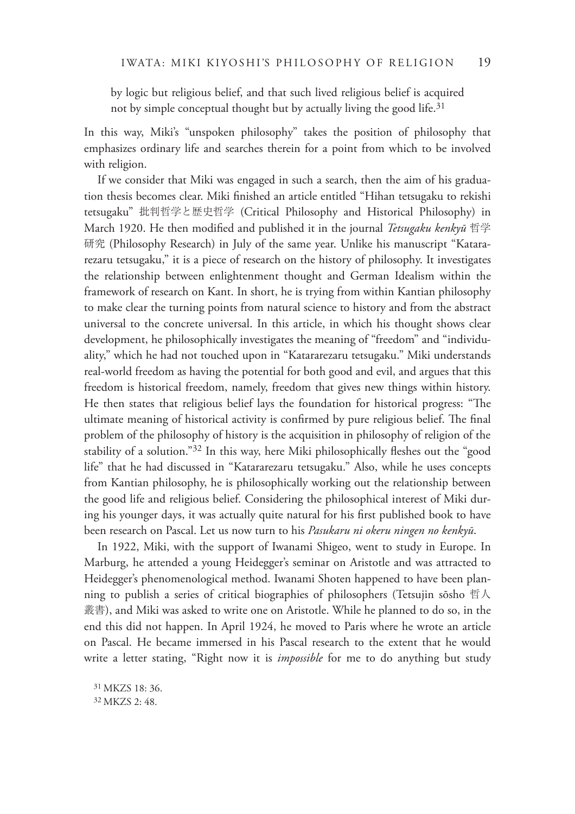by logic but religious belief, and that such lived religious belief is acquired not by simple conceptual thought but by actually living the good life.<sup>31</sup>

In this way, Miki's "unspoken philosophy" takes the position of philosophy that emphasizes ordinary life and searches therein for a point from which to be involved with religion.

If we consider that Miki was engaged in such a search, then the aim of his graduation thesis becomes clear. Miki finished an article entitled "Hihan tetsugaku to rekishi tetsugaku" 批判哲学と歴史哲学 (Critical Philosophy and Historical Philosophy) in March 1920. He then modified and published it in the journal *Tetsugaku kenkyū* 哲学 研究 (Philosophy Research) in July of the same year. Unlike his manuscript "Katararezaru tetsugaku," it is a piece of research on the history of philosophy. It investigates the relationship between enlightenment thought and German Idealism within the framework of research on Kant. In short, he is trying from within Kantian philosophy to make clear the turning points from natural science to history and from the abstract universal to the concrete universal. In this article, in which his thought shows clear development, he philosophically investigates the meaning of "freedom" and "individuality," which he had not touched upon in "Katararezaru tetsugaku." Miki understands real-world freedom as having the potential for both good and evil, and argues that this freedom is historical freedom, namely, freedom that gives new things within history. He then states that religious belief lays the foundation for historical progress: "The ultimate meaning of historical activity is confirmed by pure religious belief. The final problem of the philosophy of history is the acquisition in philosophy of religion of the stability of a solution." $32$  In this way, here Miki philosophically fleshes out the "good life" that he had discussed in "Katararezaru tetsugaku." Also, while he uses concepts from Kantian philosophy, he is philosophically working out the relationship between the good life and religious belief. Considering the philosophical interest of Miki during his younger days, it was actually quite natural for his first published book to have been research on Pascal. Let us now turn to his *Pasukaru ni okeru ningen no kenkyū*.

In 1922, Miki, with the support of Iwanami Shigeo, went to study in Europe. In Marburg, he attended a young Heidegger's seminar on Aristotle and was attracted to Heidegger's phenomenological method. Iwanami Shoten happened to have been planning to publish a series of critical biographies of philosophers (Tetsujin sōsho 哲人 叢書), and Miki was asked to write one on Aristotle. While he planned to do so, in the end this did not happen. In April 1924, he moved to Paris where he wrote an article on Pascal. He became immersed in his Pascal research to the extent that he would write a letter stating, "Right now it is *impossible* for me to do anything but study

31 MKZS 18: 36. 32 MKZS 2: 48.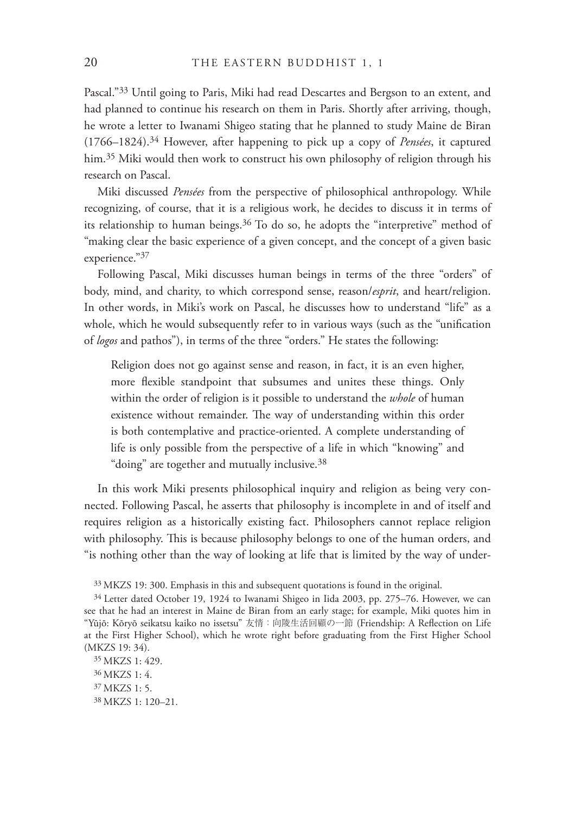Pascal."33 Until going to Paris, Miki had read Descartes and Bergson to an extent, and had planned to continue his research on them in Paris. Shortly after arriving, though, he wrote a letter to Iwanami Shigeo stating that he planned to study Maine de Biran (1766–1824).34 However, after happening to pick up a copy of *Pensées*, it captured him.35 Miki would then work to construct his own philosophy of religion through his research on Pascal.

Miki discussed *Pensées* from the perspective of philosophical anthropology. While recognizing, of course, that it is a religious work, he decides to discuss it in terms of its relationship to human beings. $36$  To do so, he adopts the "interpretive" method of "making clear the basic experience of a given concept, and the concept of a given basic experience."<sup>37</sup>

Following Pascal, Miki discusses human beings in terms of the three "orders" of body, mind, and charity, to which correspond sense, reason/*esprit*, and heart/religion. In other words, in Miki's work on Pascal, he discusses how to understand "life" as a whole, which he would subsequently refer to in various ways (such as the "unification of *logos* and pathos"), in terms of the three "orders." He states the following:

Religion does not go against sense and reason, in fact, it is an even higher, more flexible standpoint that subsumes and unites these things. Only within the order of religion is it possible to understand the *whole* of human existence without remainder. The way of understanding within this order is both contemplative and practice-oriented. A complete understanding of life is only possible from the perspective of a life in which "knowing" and "doing" are together and mutually inclusive.38

In this work Miki presents philosophical inquiry and religion as being very connected. Following Pascal, he asserts that philosophy is incomplete in and of itself and requires religion as a historically existing fact. Philosophers cannot replace religion with philosophy. This is because philosophy belongs to one of the human orders, and "is nothing other than the way of looking at life that is limited by the way of under-

<sup>33</sup> MKZS 19: 300. Emphasis in this and subsequent quotations is found in the original.

<sup>34</sup> Letter dated October 19, 1924 to Iwanami Shigeo in Iida 2003, pp. 275–76. However, we can see that he had an interest in Maine de Biran from an early stage; for example, Miki quotes him in "Yūjō: Kōryō seikatsu kaiko no issetsu" 友情: 向陵生活回顧の一節 (Friendship: A Reflection on Life at the First Higher School), which he wrote right before graduating from the First Higher School (MKZS 19: 34).

<sup>35</sup> MKZS 1: 429. 36 MKZS 1: 4. 37 MKZS 1: 5. 38 MKZS 1: 120–21.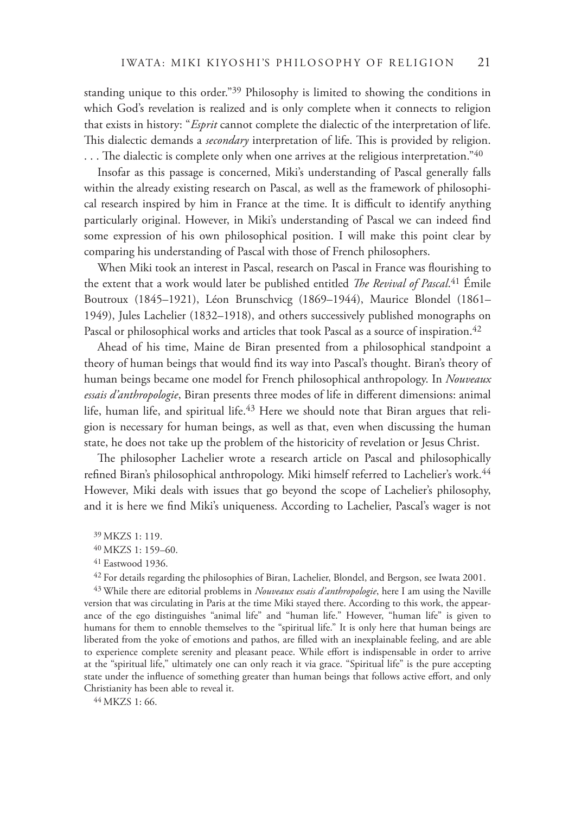standing unique to this order."39 Philosophy is limited to showing the conditions in which God's revelation is realized and is only complete when it connects to religion that exists in history: "*Esprit* cannot complete the dialectic of the interpretation of life. This dialectic demands a *secondary* interpretation of life. This is provided by religion. ... The dialectic is complete only when one arrives at the religious interpretation." $40$ 

Insofar as this passage is concerned, Miki's understanding of Pascal generally falls within the already existing research on Pascal, as well as the framework of philosophical research inspired by him in France at the time. It is difficult to identify anything particularly original. However, in Miki's understanding of Pascal we can indeed find some expression of his own philosophical position. I will make this point clear by comparing his understanding of Pascal with those of French philosophers.

When Miki took an interest in Pascal, research on Pascal in France was flourishing to the extent that a work would later be published entitled *!e Revival of Pascal*. 41 Émile Boutroux (1845–1921), Léon Brunschvicg (1869–1944), Maurice Blondel (1861– 1949), Jules Lachelier (1832–1918), and others successively published monographs on Pascal or philosophical works and articles that took Pascal as a source of inspiration. 42

Ahead of his time, Maine de Biran presented from a philosophical standpoint a theory of human beings that would find its way into Pascal's thought. Biran's theory of human beings became one model for French philosophical anthropology. In *Nouveaux*  essais d'anthropologie, Biran presents three modes of life in different dimensions: animal life, human life, and spiritual life. $43$  Here we should note that Biran argues that religion is necessary for human beings, as well as that, even when discussing the human state, he does not take up the problem of the historicity of revelation or Jesus Christ.

The philosopher Lachelier wrote a research article on Pascal and philosophically refined Biran's philosophical anthropology. Miki himself referred to Lachelier's work.<sup>44</sup> However, Miki deals with issues that go beyond the scope of Lachelier's philosophy, and it is here we find Miki's uniqueness. According to Lachelier, Pascal's wager is not

43 While there are editorial problems in *Nouveaux essais d'anthropologie*, here I am using the Naville version that was circulating in Paris at the time Miki stayed there. According to this work, the appearance of the ego distinguishes "animal life" and "human life." However, "human life" is given to humans for them to ennoble themselves to the "spiritual life." It is only here that human beings are liberated from the yoke of emotions and pathos, are filled with an inexplainable feeling, and are able to experience complete serenity and pleasant peace. While effort is indispensable in order to arrive at the "spiritual life," ultimately one can only reach it via grace. "Spiritual life" is the pure accepting state under the influence of something greater than human beings that follows active effort, and only Christianity has been able to reveal it.

44 MKZS 1: 66.

<sup>39</sup> MKZS 1: 119.

<sup>40</sup> MKZS 1: 159–60.

<sup>41</sup> Eastwood 1936.

<sup>42</sup> For details regarding the philosophies of Biran, Lachelier, Blondel, and Bergson, see Iwata 2001.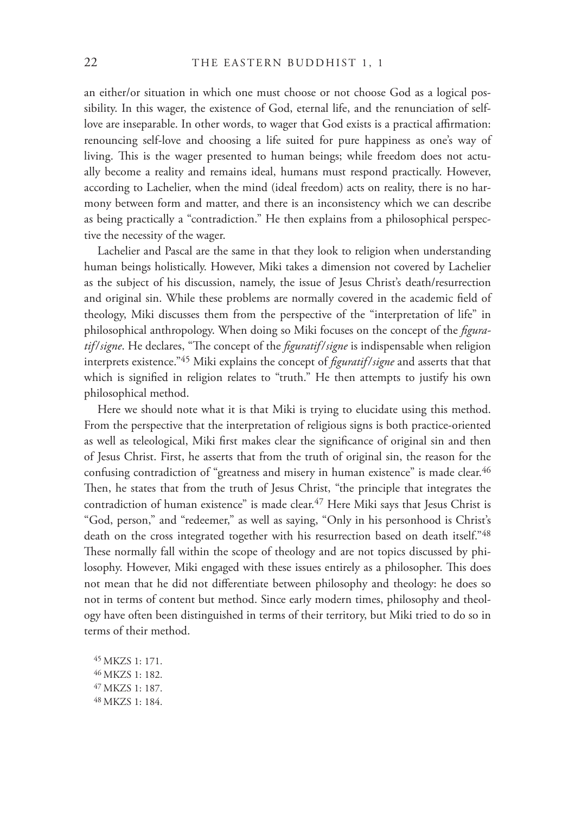an either/or situation in which one must choose or not choose God as a logical possibility. In this wager, the existence of God, eternal life, and the renunciation of selflove are inseparable. In other words, to wager that God exists is a practical affirmation: renouncing self-love and choosing a life suited for pure happiness as one's way of living. This is the wager presented to human beings; while freedom does not actually become a reality and remains ideal, humans must respond practically. However, according to Lachelier, when the mind (ideal freedom) acts on reality, there is no harmony between form and matter, and there is an inconsistency which we can describe as being practically a "contradiction." He then explains from a philosophical perspective the necessity of the wager.

Lachelier and Pascal are the same in that they look to religion when understanding human beings holistically. However, Miki takes a dimension not covered by Lachelier as the subject of his discussion, namely, the issue of Jesus Christ's death/resurrection and original sin. While these problems are normally covered in the academic field of theology, Miki discusses them from the perspective of the "interpretation of life" in philosophical anthropology. When doing so Miki focuses on the concept of the *figuratif/signe*. He declares, "The concept of the *figuratif/signe* is indispensable when religion interprets existence."<sup>45</sup> Miki explains the concept of *figuratif/signe* and asserts that that which is signified in religion relates to "truth." He then attempts to justify his own philosophical method.

Here we should note what it is that Miki is trying to elucidate using this method. From the perspective that the interpretation of religious signs is both practice-oriented as well as teleological, Miki first makes clear the significance of original sin and then of Jesus Christ. First, he asserts that from the truth of original sin, the reason for the confusing contradiction of "greatness and misery in human existence" is made clear.<sup>46</sup> Then, he states that from the truth of Jesus Christ, "the principle that integrates the contradiction of human existence" is made clear.<sup>47</sup> Here Miki says that Jesus Christ is "God, person," and "redeemer," as well as saying, "Only in his personhood is Christ's death on the cross integrated together with his resurrection based on death itself."<sup>48</sup> These normally fall within the scope of theology and are not topics discussed by philosophy. However, Miki engaged with these issues entirely as a philosopher. This does not mean that he did not differentiate between philosophy and theology: he does so not in terms of content but method. Since early modern times, philosophy and theology have often been distinguished in terms of their territory, but Miki tried to do so in terms of their method.

45 MKZS 1: 171. 46 MKZS 1: 182. 47 MKZS 1: 187. 48 MKZS 1: 184.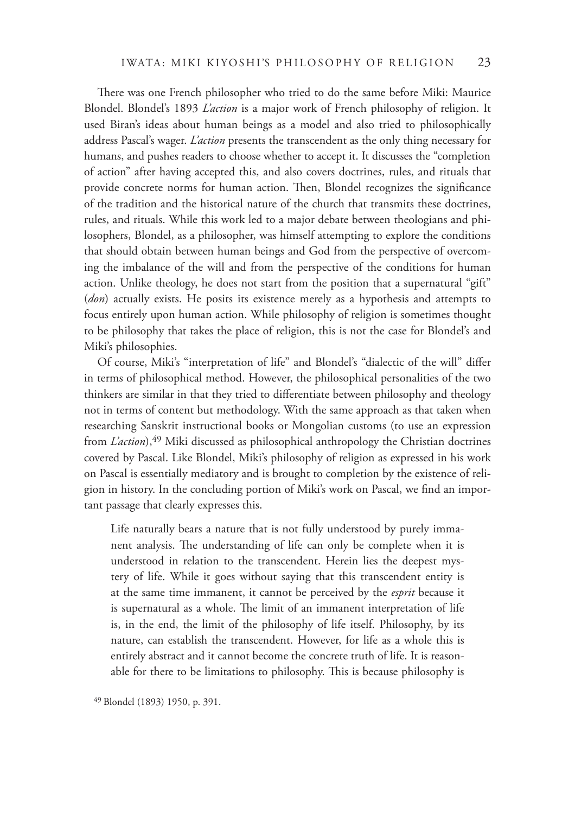There was one French philosopher who tried to do the same before Miki: Maurice Blondel. Blondel's 1893 *L'action* is a major work of French philosophy of religion. It used Biran's ideas about human beings as a model and also tried to philosophically address Pascal's wager. *L'action* presents the transcendent as the only thing necessary for humans, and pushes readers to choose whether to accept it. It discusses the "completion of action" after having accepted this, and also covers doctrines, rules, and rituals that provide concrete norms for human action. Then, Blondel recognizes the significance of the tradition and the historical nature of the church that transmits these doctrines, rules, and rituals. While this work led to a major debate between theologians and philosophers, Blondel, as a philosopher, was himself attempting to explore the conditions that should obtain between human beings and God from the perspective of overcoming the imbalance of the will and from the perspective of the conditions for human action. Unlike theology, he does not start from the position that a supernatural "gift" (*don*) actually exists. He posits its existence merely as a hypothesis and attempts to focus entirely upon human action. While philosophy of religion is sometimes thought to be philosophy that takes the place of religion, this is not the case for Blondel's and Miki's philosophies.

Of course, Miki's "interpretation of life" and Blondel's "dialectic of the will" differ in terms of philosophical method. However, the philosophical personalities of the two thinkers are similar in that they tried to differentiate between philosophy and theology not in terms of content but methodology. With the same approach as that taken when researching Sanskrit instructional books or Mongolian customs (to use an expression from *L'action*),<sup>49</sup> Miki discussed as philosophical anthropology the Christian doctrines covered by Pascal. Like Blondel, Miki's philosophy of religion as expressed in his work on Pascal is essentially mediatory and is brought to completion by the existence of religion in history. In the concluding portion of Miki's work on Pascal, we find an important passage that clearly expresses this.

Life naturally bears a nature that is not fully understood by purely immanent analysis. The understanding of life can only be complete when it is understood in relation to the transcendent. Herein lies the deepest mystery of life. While it goes without saying that this transcendent entity is at the same time immanent, it cannot be perceived by the *esprit* because it is supernatural as a whole. The limit of an immanent interpretation of life is, in the end, the limit of the philosophy of life itself. Philosophy, by its nature, can establish the transcendent. However, for life as a whole this is entirely abstract and it cannot become the concrete truth of life. It is reasonable for there to be limitations to philosophy. This is because philosophy is

<sup>49</sup> Blondel (1893) 1950, p. 391.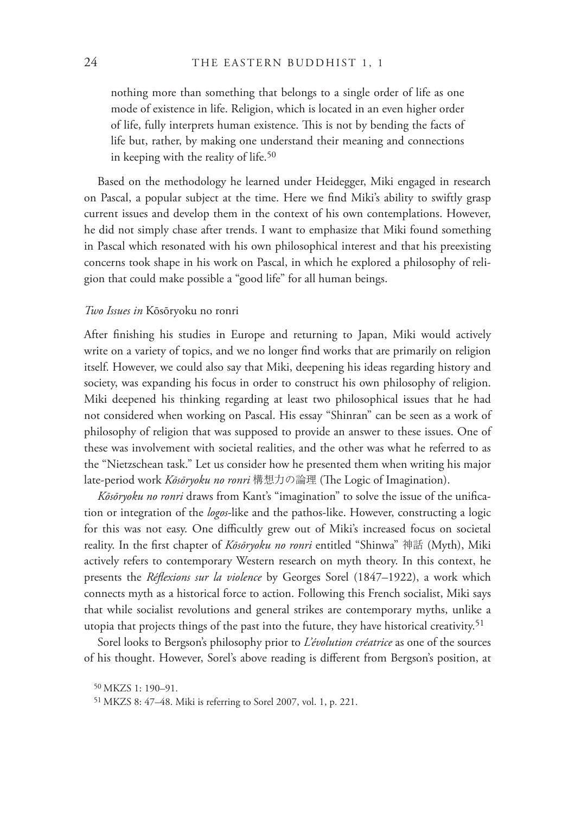nothing more than something that belongs to a single order of life as one mode of existence in life. Religion, which is located in an even higher order of life, fully interprets human existence. This is not by bending the facts of life but, rather, by making one understand their meaning and connections in keeping with the reality of life.<sup>50</sup>

Based on the methodology he learned under Heidegger, Miki engaged in research on Pascal, a popular subject at the time. Here we find Miki's ability to swiftly grasp current issues and develop them in the context of his own contemplations. However, he did not simply chase after trends. I want to emphasize that Miki found something in Pascal which resonated with his own philosophical interest and that his preexisting concerns took shape in his work on Pascal, in which he explored a philosophy of religion that could make possible a "good life" for all human beings.

#### *Two Issues in* Kōsōryoku no ronri

After finishing his studies in Europe and returning to Japan, Miki would actively write on a variety of topics, and we no longer find works that are primarily on religion itself. However, we could also say that Miki, deepening his ideas regarding history and society, was expanding his focus in order to construct his own philosophy of religion. Miki deepened his thinking regarding at least two philosophical issues that he had not considered when working on Pascal. His essay "Shinran" can be seen as a work of philosophy of religion that was supposed to provide an answer to these issues. One of these was involvement with societal realities, and the other was what he referred to as the "Nietzschean task." Let us consider how he presented them when writing his major late-period work *Kōsōryoku no ronri* 構想力の論理 (The Logic of Imagination).

*Kōsōryoku no ronri* draws from Kant's "imagination" to solve the issue of the unification or integration of the *logos*-like and the pathos-like. However, constructing a logic for this was not easy. One difficultly grew out of Miki's increased focus on societal reality. In the first chapter of *Kōsōryoku no ronri* entitled "Shinwa" 神話 (Myth), Miki actively refers to contemporary Western research on myth theory. In this context, he presents the *Réflexions sur la violence* by Georges Sorel (1847-1922), a work which connects myth as a historical force to action. Following this French socialist, Miki says that while socialist revolutions and general strikes are contemporary myths, unlike a utopia that projects things of the past into the future, they have historical creativity.51

Sorel looks to Bergson's philosophy prior to *L'évolution créatrice* as one of the sources of his thought. However, Sorel's above reading is different from Bergson's position, at

<sup>50</sup> MKZS 1: 190–91.

<sup>51</sup> MKZS 8: 47–48. Miki is referring to Sorel 2007, vol. 1, p. 221.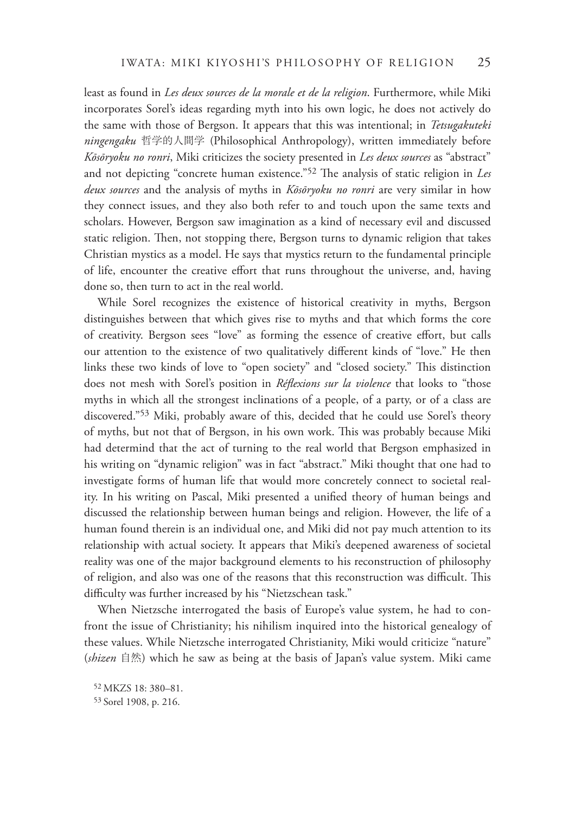least as found in *Les deux sources de la morale et de la religion*. Furthermore, while Miki incorporates Sorel's ideas regarding myth into his own logic, he does not actively do the same with those of Bergson. It appears that this was intentional; in *Tetsugakuteki ningengaku* 哲学的人間学 (Philosophical Anthropology), written immediately before *Kōsōryoku no ronri*, Miki criticizes the society presented in *Les deux sources* as "abstract" and not depicting "concrete human existence."<sup>52</sup> The analysis of static religion in *Les deux sources* and the analysis of myths in *Kōsōryoku no ronri* are very similar in how they connect issues, and they also both refer to and touch upon the same texts and scholars. However, Bergson saw imagination as a kind of necessary evil and discussed static religion. Then, not stopping there, Bergson turns to dynamic religion that takes Christian mystics as a model. He says that mystics return to the fundamental principle of life, encounter the creative effort that runs throughout the universe, and, having done so, then turn to act in the real world.

While Sorel recognizes the existence of historical creativity in myths, Bergson distinguishes between that which gives rise to myths and that which forms the core of creativity. Bergson sees "love" as forming the essence of creative effort, but calls our attention to the existence of two qualitatively different kinds of "love." He then links these two kinds of love to "open society" and "closed society." This distinction does not mesh with Sorel's position in *Réflexions sur la violence* that looks to "those myths in which all the strongest inclinations of a people, of a party, or of a class are discovered."53 Miki, probably aware of this, decided that he could use Sorel's theory of myths, but not that of Bergson, in his own work. This was probably because Miki had determind that the act of turning to the real world that Bergson emphasized in his writing on "dynamic religion" was in fact "abstract." Miki thought that one had to investigate forms of human life that would more concretely connect to societal reality. In his writing on Pascal, Miki presented a unified theory of human beings and discussed the relationship between human beings and religion. However, the life of a human found therein is an individual one, and Miki did not pay much attention to its relationship with actual society. It appears that Miki's deepened awareness of societal reality was one of the major background elements to his reconstruction of philosophy of religion, and also was one of the reasons that this reconstruction was difficult. This difficulty was further increased by his "Nietzschean task."

When Nietzsche interrogated the basis of Europe's value system, he had to confront the issue of Christianity; his nihilism inquired into the historical genealogy of these values. While Nietzsche interrogated Christianity, Miki would criticize "nature" (*shizen* 自然) which he saw as being at the basis of Japan's value system. Miki came

52 MKZS 18: 380–81. 53 Sorel 1908, p. 216.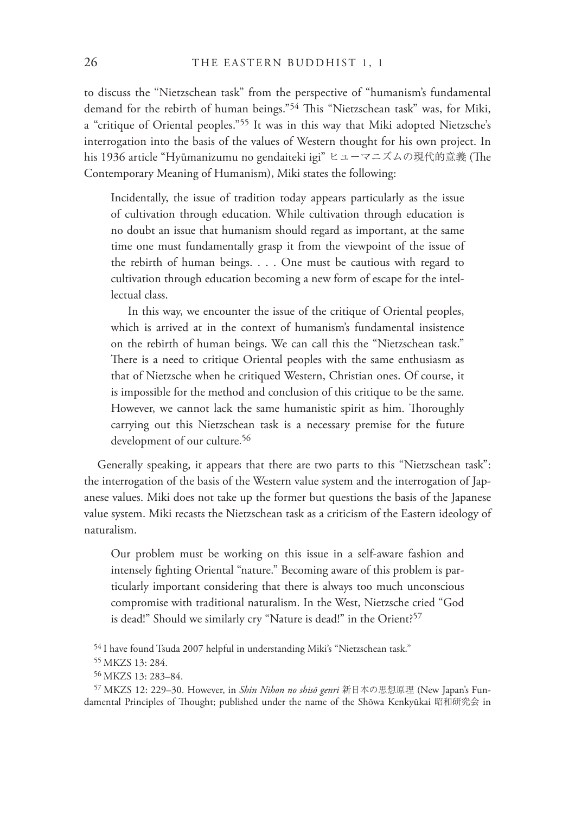to discuss the "Nietzschean task" from the perspective of "humanism's fundamental demand for the rebirth of human beings."<sup>54</sup> This "Nietzschean task" was, for Miki, a "critique of Oriental peoples."55 It was in this way that Miki adopted Nietzsche's interrogation into the basis of the values of Western thought for his own project. In his 1936 article "Hyūmanizumu no gendaiteki igi" ヒューマニズムの現代的意義 (The Contemporary Meaning of Humanism), Miki states the following:

Incidentally, the issue of tradition today appears particularly as the issue of cultivation through education. While cultivation through education is no doubt an issue that humanism should regard as important, at the same time one must fundamentally grasp it from the viewpoint of the issue of the rebirth of human beings. . . . One must be cautious with regard to cultivation through education becoming a new form of escape for the intellectual class.

In this way, we encounter the issue of the critique of Oriental peoples, which is arrived at in the context of humanism's fundamental insistence on the rebirth of human beings. We can call this the "Nietzschean task." There is a need to critique Oriental peoples with the same enthusiasm as that of Nietzsche when he critiqued Western, Christian ones. Of course, it is impossible for the method and conclusion of this critique to be the same. However, we cannot lack the same humanistic spirit as him. Thoroughly carrying out this Nietzschean task is a necessary premise for the future development of our culture. 56

Generally speaking, it appears that there are two parts to this "Nietzschean task": the interrogation of the basis of the Western value system and the interrogation of Japanese values. Miki does not take up the former but questions the basis of the Japanese value system. Miki recasts the Nietzschean task as a criticism of the Eastern ideology of naturalism.

Our problem must be working on this issue in a self-aware fashion and intensely fighting Oriental "nature." Becoming aware of this problem is particularly important considering that there is always too much unconscious compromise with traditional naturalism. In the West, Nietzsche cried "God is dead!" Should we similarly cry "Nature is dead!" in the Orient?<sup>57</sup>

<sup>54</sup> I have found Tsuda 2007 helpful in understanding Miki's "Nietzschean task."

<sup>55</sup> MKZS 13: 284.

<sup>56</sup> MKZS 13: 283–84.

<sup>57</sup> MKZS 12: 229–30. However, in *Shin Nihon no shisō genri* 新日本の思想原理 (New Japan's Fundamental Principles of Thought; published under the name of the Shōwa Kenkyūkai 昭和研究会 in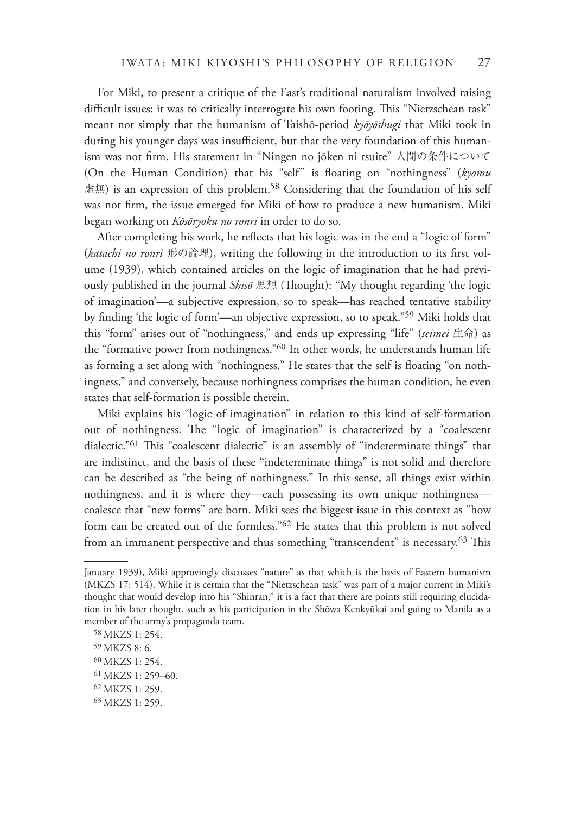For Miki, to present a critique of the East's traditional naturalism involved raising difficult issues; it was to critically interrogate his own footing. This "Nietzschean task" meant not simply that the humanism of Taishō-period *kyōyōshugi* that Miki took in during his younger days was insufficient, but that the very foundation of this humanism was not firm. His statement in "Ningen no jōken ni tsuite" 人間の条件について (On the Human Condition) that his "self" is floating on "nothingness" (kyomu 虚無) is an expression of this problem.<sup>58</sup> Considering that the foundation of his self was not firm, the issue emerged for Miki of how to produce a new humanism. Miki began working on *Kōsōryoku no ronri* in order to do so.

After completing his work, he reflects that his logic was in the end a "logic of form" (katachi no ronri 形の論理), writing the following in the introduction to its first volume (1939), which contained articles on the logic of imagination that he had previously published in the journal *Shisō* 思想 (Thought): "My thought regarding 'the logic of imagination'—a subjective expression, so to speak—has reached tentative stability by finding 'the logic of form'—an objective expression, so to speak."<sup>59</sup> Miki holds that this "form" arises out of "nothingness," and ends up expressing "life" (*seimei* 生命) as the "formative power from nothingness."60 In other words, he understands human life as forming a set along with "nothingness." He states that the self is floating "on nothingness," and conversely, because nothingness comprises the human condition, he even states that self-formation is possible therein.

Miki explains his "logic of imagination" in relation to this kind of self-formation out of nothingness. The "logic of imagination" is characterized by a "coalescent dialectic."<sup>61</sup> This "coalescent dialectic" is an assembly of "indeterminate things" that are indistinct, and the basis of these "indeterminate things" is not solid and therefore can be described as "the being of nothingness." In this sense, all things exist within nothingness, and it is where they—each possessing its own unique nothingness coalesce that "new forms" are born. Miki sees the biggest issue in this context as "how form can be created out of the formless."62 He states that this problem is not solved from an immanent perspective and thus something "transcendent" is necessary.<sup>63</sup> This

January 1939), Miki approvingly discusses "nature" as that which is the basis of Eastern humanism (MKZS 17: 514). While it is certain that the "Nietzschean task" was part of a major current in Miki's thought that would develop into his "Shinran," it is a fact that there are points still requiring elucidation in his later thought, such as his participation in the Shōwa Kenkyūkai and going to Manila as a member of the army's propaganda team.

<sup>58</sup> MKZS 1: 254.

<sup>59</sup> MKZS 8: 6.

<sup>60</sup> MKZS 1: 254.

<sup>61</sup> MKZS 1: 259–60.

<sup>62</sup> MKZS 1: 259.

<sup>63</sup> MKZS 1: 259.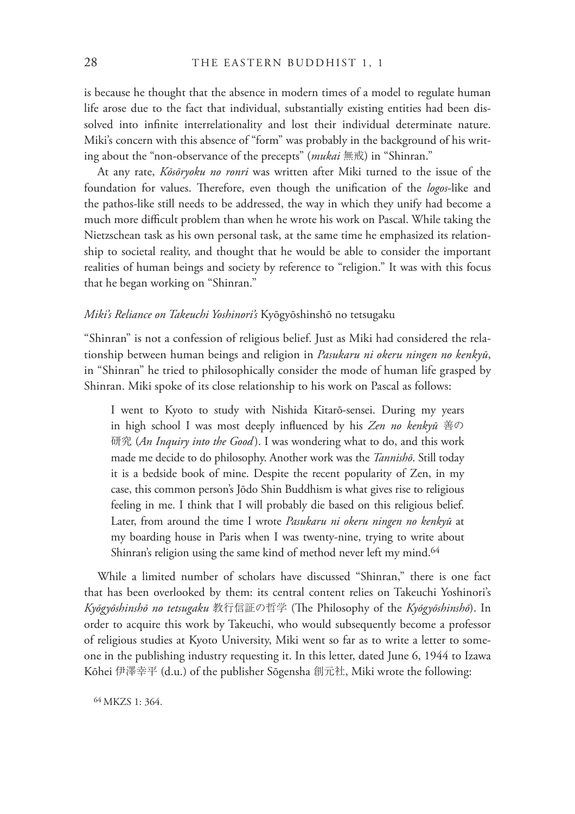is because he thought that the absence in modern times of a model to regulate human life arose due to the fact that individual, substantially existing entities had been dissolved into infinite interrelationality and lost their individual determinate nature. Miki's concern with this absence of "form" was probably in the background of his writing about the "non-observance of the precepts" (*mukai* 無戒) in "Shinran."

At any rate, *Kōsōryoku no ronri* was written after Miki turned to the issue of the foundation for values. Therefore, even though the unification of the *logos*-like and the pathos-like still needs to be addressed, the way in which they unify had become a much more difficult problem than when he wrote his work on Pascal. While taking the Nietzschean task as his own personal task, at the same time he emphasized its relationship to societal reality, and thought that he would be able to consider the important realities of human beings and society by reference to "religion." It was with this focus that he began working on "Shinran."

#### *Miki's Reliance on Takeuchi Yoshinori's* Kyōgyōshinshō no tetsugaku

"Shinran" is not a confession of religious belief. Just as Miki had considered the relationship between human beings and religion in *Pasukaru ni okeru ningen no kenkyū*, in "Shinran" he tried to philosophically consider the mode of human life grasped by Shinran. Miki spoke of its close relationship to his work on Pascal as follows:

I went to Kyoto to study with Nishida Kitarō-sensei. During my years in high school I was most deeply influenced by his *Zen no kenkyū* 善の 研究 (*An Inquiry into the Good* ). I was wondering what to do, and this work made me decide to do philosophy. Another work was the *Tannishō*. Still today it is a bedside book of mine. Despite the recent popularity of Zen, in my case, this common person's Jōdo Shin Buddhism is what gives rise to religious feeling in me. I think that I will probably die based on this religious belief. Later, from around the time I wrote *Pasukaru ni okeru ningen no kenkyū* at my boarding house in Paris when I was twenty-nine, trying to write about Shinran's religion using the same kind of method never left my mind.<sup>64</sup>

While a limited number of scholars have discussed "Shinran," there is one fact that has been overlooked by them: its central content relies on Takeuchi Yoshinori's *Kyōgyōshinshō no tetsugaku* 教行信証の哲学 (!e Philosophy of the *Kyōgyōshinshō*). In order to acquire this work by Takeuchi, who would subsequently become a professor of religious studies at Kyoto University, Miki went so far as to write a letter to someone in the publishing industry requesting it. In this letter, dated June 6, 1944 to Izawa Kōhei 伊澤幸平 (d.u.) of the publisher Sōgensha 創元社, Miki wrote the following:

64 MKZS 1: 364.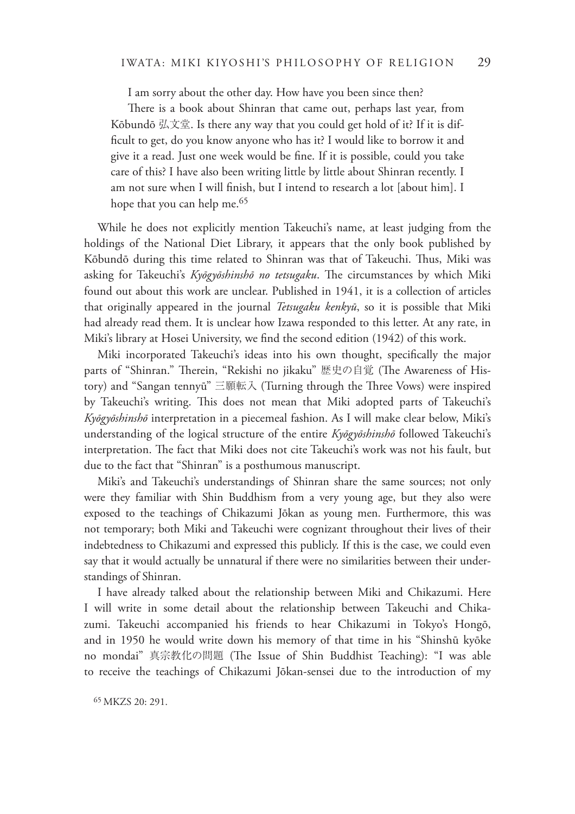I am sorry about the other day. How have you been since then?

There is a book about Shinran that came out, perhaps last year, from Kōbundō 弘文堂. Is there any way that you could get hold of it? If it is dif ficult to get, do you know anyone who has it? I would like to borrow it and give it a read. Just one week would be fine. If it is possible, could you take care of this? I have also been writing little by little about Shinran recently. I am not sure when I will finish, but I intend to research a lot [about him]. I hope that you can help me.<sup>65</sup>

While he does not explicitly mention Takeuchi's name, at least judging from the holdings of the National Diet Library, it appears that the only book published by Kōbundō during this time related to Shinran was that of Takeuchi. Thus, Miki was asking for Takeuchi's *Kyōgyōshinshō no tetsugaku*. !e circumstances by which Miki found out about this work are unclear. Published in 1941, it is a collection of articles that originally appeared in the journal *Tetsugaku kenkyū*, so it is possible that Miki had already read them. It is unclear how Izawa responded to this letter. At any rate, in Miki's library at Hosei University, we find the second edition (1942) of this work.

Miki incorporated Takeuchi's ideas into his own thought, specifically the major parts of "Shinran." Therein, "Rekishi no jikaku" 歴史の自覚 (The Awareness of History) and "Sangan tennyū" 三願転入 (Turning through the Three Vows) were inspired by Takeuchi's writing. This does not mean that Miki adopted parts of Takeuchi's *Kyōgyōshinshō* interpretation in a piecemeal fashion. As I will make clear below, Miki's understanding of the logical structure of the entire *Kyōgyōshinshō* followed Takeuchi's interpretation. The fact that Miki does not cite Takeuchi's work was not his fault, but due to the fact that "Shinran" is a posthumous manuscript.

Miki's and Takeuchi's understandings of Shinran share the same sources; not only were they familiar with Shin Buddhism from a very young age, but they also were exposed to the teachings of Chikazumi Jōkan as young men. Furthermore, this was not temporary; both Miki and Takeuchi were cognizant throughout their lives of their indebtedness to Chikazumi and expressed this publicly. If this is the case, we could even say that it would actually be unnatural if there were no similarities between their understandings of Shinran.

I have already talked about the relationship between Miki and Chikazumi. Here I will write in some detail about the relationship between Takeuchi and Chikazumi. Takeuchi accompanied his friends to hear Chikazumi in Tokyo's Hongō, and in 1950 he would write down his memory of that time in his "Shinshū kyōke no mondai"真宗教化の問題 (The Issue of Shin Buddhist Teaching): "I was able to receive the teachings of Chikazumi Jōkan-sensei due to the introduction of my

65 MKZS 20: 291.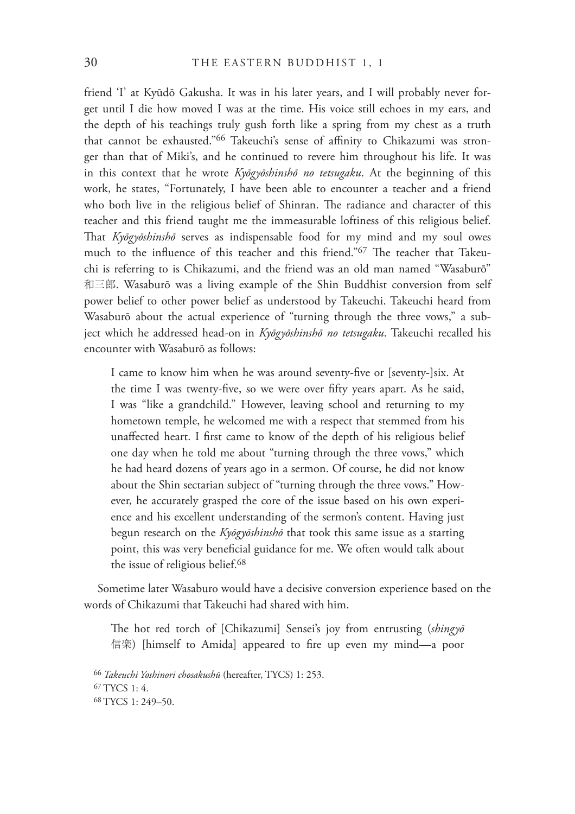friend 'I' at Kyūdō Gakusha. It was in his later years, and I will probably never forget until I die how moved I was at the time. His voice still echoes in my ears, and the depth of his teachings truly gush forth like a spring from my chest as a truth that cannot be exhausted."<sup>66</sup> Takeuchi's sense of affinity to Chikazumi was stronger than that of Miki's, and he continued to revere him throughout his life. It was in this context that he wrote *Kyōgyōshinshō no tetsugaku*. At the beginning of this work, he states, "Fortunately, I have been able to encounter a teacher and a friend who both live in the religious belief of Shinran. The radiance and character of this teacher and this friend taught me the immeasurable loftiness of this religious belief. That *Kyōgyōshinshō* serves as indispensable food for my mind and my soul owes much to the influence of this teacher and this friend."<sup>67</sup> The teacher that Takeuchi is referring to is Chikazumi, and the friend was an old man named "Wasaburō" 和三郎. Wasaburō was a living example of the Shin Buddhist conversion from self power belief to other power belief as understood by Takeuchi. Takeuchi heard from Wasaburō about the actual experience of "turning through the three vows," a subject which he addressed head-on in *Kyōgyōshinshō no tetsugaku*. Takeuchi recalled his encounter with Wasaburō as follows:

I came to know him when he was around seventy-five or [seventy-]six. At the time I was twenty-five, so we were over fifty years apart. As he said, I was "like a grandchild." However, leaving school and returning to my hometown temple, he welcomed me with a respect that stemmed from his unaffected heart. I first came to know of the depth of his religious belief one day when he told me about "turning through the three vows," which he had heard dozens of years ago in a sermon. Of course, he did not know about the Shin sectarian subject of "turning through the three vows." However, he accurately grasped the core of the issue based on his own experience and his excellent understanding of the sermon's content. Having just begun research on the *Kyōgyōshinshō* that took this same issue as a starting point, this was very beneficial guidance for me. We often would talk about the issue of religious belief.<sup>68</sup>

Sometime later Wasaburo would have a decisive conversion experience based on the words of Chikazumi that Takeuchi had shared with him.

The hot red torch of [Chikazumi] Sensei's joy from entrusting (*shingyō* 信楽) [himself to Amida] appeared to fire up even my mind—a poor

<sup>66</sup>*Takeuchi Yoshinori chosakushū* (hereafter, TYCS) 1: 253. 67 TYCS 1: 4. 68 TYCS 1: 249–50.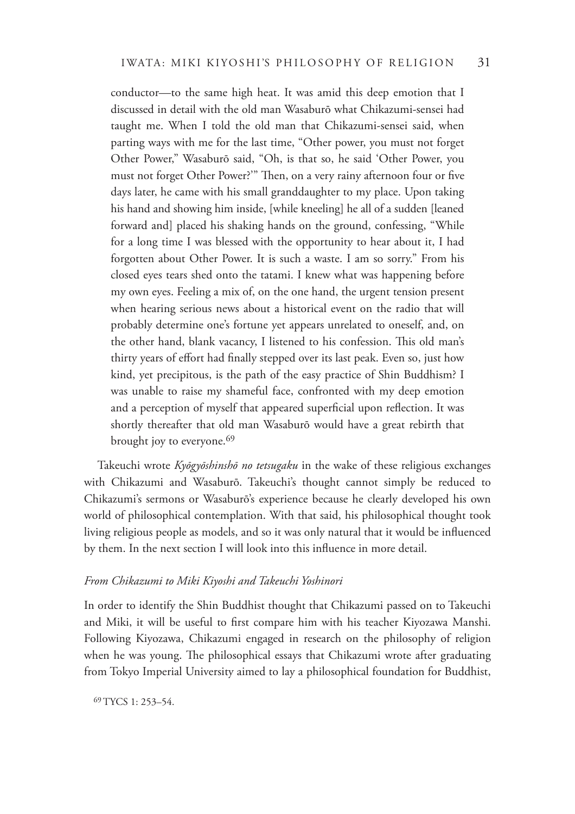conductor—to the same high heat. It was amid this deep emotion that I discussed in detail with the old man Wasaburō what Chikazumi-sensei had taught me. When I told the old man that Chikazumi-sensei said, when parting ways with me for the last time, "Other power, you must not forget Other Power," Wasaburō said, "Oh, is that so, he said 'Other Power, you must not forget Other Power?" Then, on a very rainy afternoon four or five days later, he came with his small granddaughter to my place. Upon taking his hand and showing him inside, [while kneeling] he all of a sudden [leaned forward and] placed his shaking hands on the ground, confessing, "While for a long time I was blessed with the opportunity to hear about it, I had forgotten about Other Power. It is such a waste. I am so sorry." From his closed eyes tears shed onto the tatami. I knew what was happening before my own eyes. Feeling a mix of, on the one hand, the urgent tension present when hearing serious news about a historical event on the radio that will probably determine one's fortune yet appears unrelated to oneself, and, on the other hand, blank vacancy, I listened to his confession. This old man's thirty years of effort had finally stepped over its last peak. Even so, just how kind, yet precipitous, is the path of the easy practice of Shin Buddhism? I was unable to raise my shameful face, confronted with my deep emotion and a perception of myself that appeared superficial upon reflection. It was shortly thereafter that old man Wasaburō would have a great rebirth that brought joy to everyone.<sup>69</sup>

Takeuchi wrote *Kyōgyōshinshō no tetsugaku* in the wake of these religious exchanges with Chikazumi and Wasaburō. Takeuchi's thought cannot simply be reduced to Chikazumi's sermons or Wasaburō's experience because he clearly developed his own world of philosophical contemplation. With that said, his philosophical thought took living religious people as models, and so it was only natural that it would be influenced by them. In the next section I will look into this influence in more detail.

## *From Chikazumi to Miki Kiyoshi and Takeuchi Yoshinori*

In order to identify the Shin Buddhist thought that Chikazumi passed on to Takeuchi and Miki, it will be useful to first compare him with his teacher Kiyozawa Manshi. Following Kiyozawa, Chikazumi engaged in research on the philosophy of religion when he was young. The philosophical essays that Chikazumi wrote after graduating from Tokyo Imperial University aimed to lay a philosophical foundation for Buddhist,

69 TYCS 1: 253–54.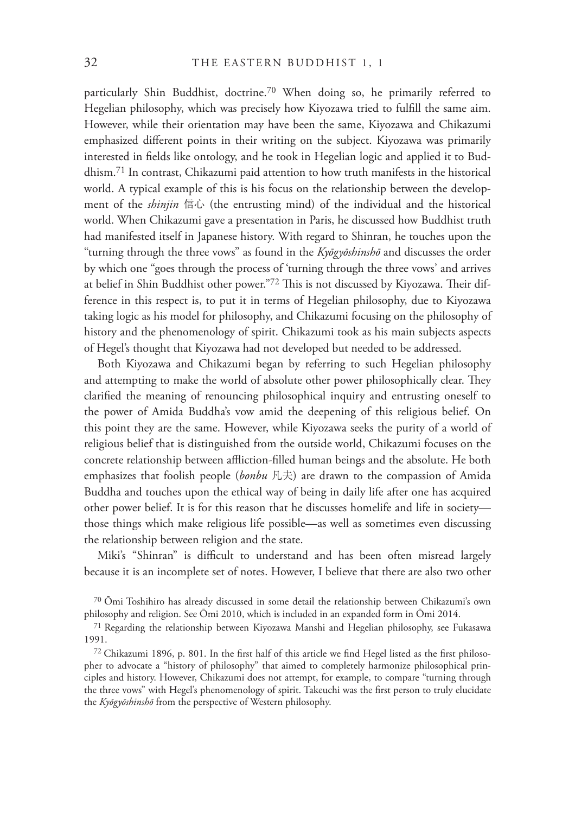particularly Shin Buddhist, doctrine.70 When doing so, he primarily referred to Hegelian philosophy, which was precisely how Kiyozawa tried to fulfill the same aim. However, while their orientation may have been the same, Kiyozawa and Chikazumi emphasized different points in their writing on the subject. Kiyozawa was primarily interested in fields like ontology, and he took in Hegelian logic and applied it to Buddhism.71 In contrast, Chikazumi paid attention to how truth manifests in the historical world. A typical example of this is his focus on the relationship between the development of the *shinjin* 信心 (the entrusting mind) of the individual and the historical world. When Chikazumi gave a presentation in Paris, he discussed how Buddhist truth had manifested itself in Japanese history. With regard to Shinran, he touches upon the "turning through the three vows" as found in the *Kyōgyōshinshō* and discusses the order by which one "goes through the process of 'turning through the three vows' and arrives at belief in Shin Buddhist other power."72 This is not discussed by Kiyozawa. Their difference in this respect is, to put it in terms of Hegelian philosophy, due to Kiyozawa taking logic as his model for philosophy, and Chikazumi focusing on the philosophy of history and the phenomenology of spirit. Chikazumi took as his main subjects aspects of Hegel's thought that Kiyozawa had not developed but needed to be addressed.

Both Kiyozawa and Chikazumi began by referring to such Hegelian philosophy and attempting to make the world of absolute other power philosophically clear. They clarified the meaning of renouncing philosophical inquiry and entrusting oneself to the power of Amida Buddha's vow amid the deepening of this religious belief. On this point they are the same. However, while Kiyozawa seeks the purity of a world of religious belief that is distinguished from the outside world, Chikazumi focuses on the concrete relationship between affliction-filled human beings and the absolute. He both emphasizes that foolish people (*bonbu* 凡夫) are drawn to the compassion of Amida Buddha and touches upon the ethical way of being in daily life after one has acquired other power belief. It is for this reason that he discusses homelife and life in society those things which make religious life possible—as well as sometimes even discussing the relationship between religion and the state.

Miki's "Shinran" is difficult to understand and has been often misread largely because it is an incomplete set of notes. However, I believe that there are also two other

<sup>70</sup>Ōmi Toshihiro has already discussed in some detail the relationship between Chikazumi's own philosophy and religion. See Ōmi 2010, which is included in an expanded form in Ōmi 2014.

<sup>71</sup> Regarding the relationship between Kiyozawa Manshi and Hegelian philosophy, see Fukasawa 1991.

 $72$  Chikazumi 1896, p. 801. In the first half of this article we find Hegel listed as the first philosopher to advocate a "history of philosophy" that aimed to completely harmonize philosophical principles and history. However, Chikazumi does not attempt, for example, to compare "turning through the three vows" with Hegel's phenomenology of spirit. Takeuchi was the first person to truly elucidate the *Kyōgyōshinshō* from the perspective of Western philosophy.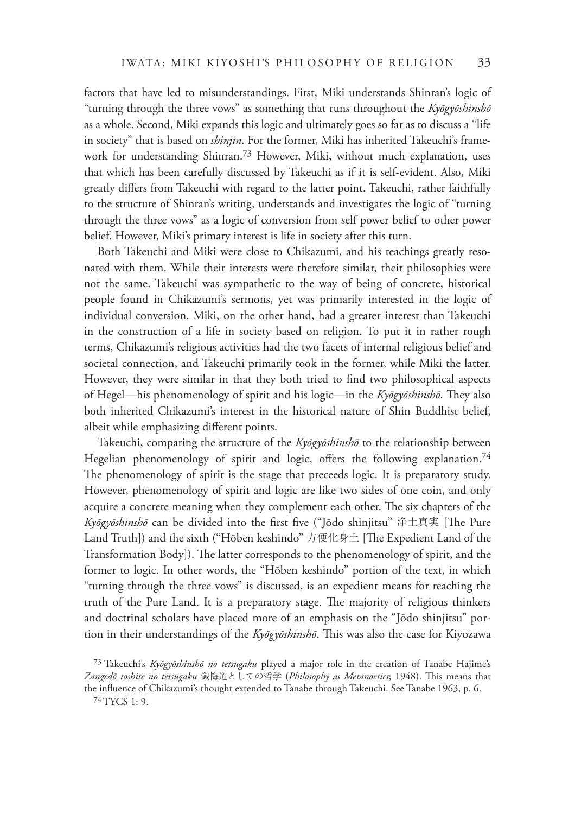factors that have led to misunderstandings. First, Miki understands Shinran's logic of "turning through the three vows" as something that runs throughout the *Kyōgyōshinshō* as a whole. Second, Miki expands this logic and ultimately goes so far as to discuss a "life in society" that is based on *shinjin*. For the former, Miki has inherited Takeuchi's framework for understanding Shinran.<sup>73</sup> However, Miki, without much explanation, uses that which has been carefully discussed by Takeuchi as if it is self-evident. Also, Miki greatly differs from Takeuchi with regard to the latter point. Takeuchi, rather faithfully to the structure of Shinran's writing, understands and investigates the logic of "turning through the three vows" as a logic of conversion from self power belief to other power belief. However, Miki's primary interest is life in society after this turn.

Both Takeuchi and Miki were close to Chikazumi, and his teachings greatly resonated with them. While their interests were therefore similar, their philosophies were not the same. Takeuchi was sympathetic to the way of being of concrete, historical people found in Chikazumi's sermons, yet was primarily interested in the logic of individual conversion. Miki, on the other hand, had a greater interest than Takeuchi in the construction of a life in society based on religion. To put it in rather rough terms, Chikazumi's religious activities had the two facets of internal religious belief and societal connection, and Takeuchi primarily took in the former, while Miki the latter. However, they were similar in that they both tried to find two philosophical aspects of Hegel—his phenomenology of spirit and his logic—in the *Kyōgyōshinshō*. They also both inherited Chikazumi's interest in the historical nature of Shin Buddhist belief, albeit while emphasizing different points.

Takeuchi, comparing the structure of the *Kyōgyōshinshō* to the relationship between Hegelian phenomenology of spirit and logic, offers the following explanation.<sup>74</sup> The phenomenology of spirit is the stage that preceeds logic. It is preparatory study. However, phenomenology of spirit and logic are like two sides of one coin, and only acquire a concrete meaning when they complement each other. The six chapters of the *Kyōgyōshinshō* can be divided into the first five ("Jōdo shinjitsu" 浄土真実 [The Pure Land Truth]) and the sixth ("Hōben keshindo" 方便化身土 [The Expedient Land of the Transformation Body]). The latter corresponds to the phenomenology of spirit, and the former to logic. In other words, the "Hōben keshindo" portion of the text, in which "turning through the three vows" is discussed, is an expedient means for reaching the truth of the Pure Land. It is a preparatory stage. The majority of religious thinkers and doctrinal scholars have placed more of an emphasis on the "Jōdo shinjitsu" portion in their understandings of the *Kyōgyōshinshō*. !is was also the case for Kiyozawa

<sup>73</sup> Takeuchi's *Kyōgyōshinshō no tetsugaku* played a major role in the creation of Tanabe Hajime's *Zangedō toshite no tetsugaku* 懺悔道としての哲学 (*Philosophy as Metanoetics*; 1948). !is means that the influence of Chikazumi's thought extended to Tanabe through Takeuchi. See Tanabe 1963, p. 6. 74 TYCS 1: 9.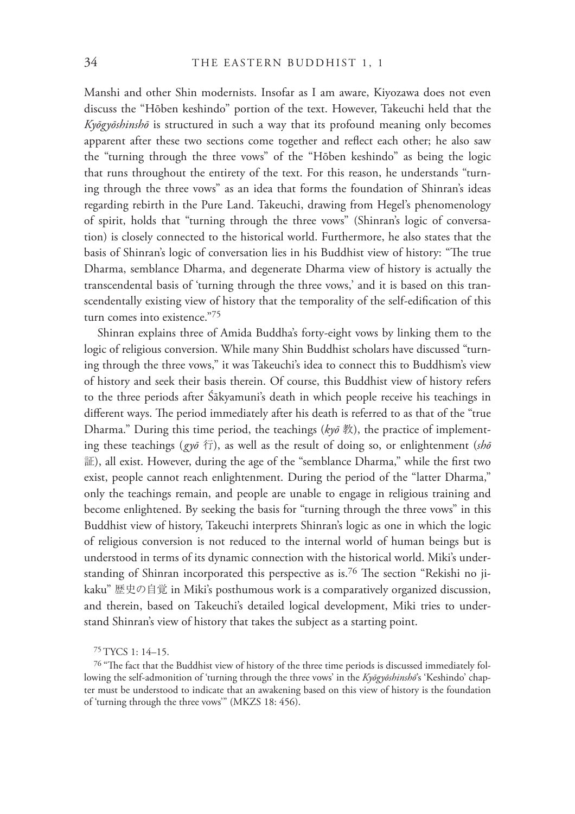Manshi and other Shin modernists. Insofar as I am aware, Kiyozawa does not even discuss the "Hōben keshindo" portion of the text. However, Takeuchi held that the *Kyōgyōshinshō* is structured in such a way that its profound meaning only becomes apparent after these two sections come together and reflect each other; he also saw the "turning through the three vows" of the "Hōben keshindo" as being the logic that runs throughout the entirety of the text. For this reason, he understands "turning through the three vows" as an idea that forms the foundation of Shinran's ideas regarding rebirth in the Pure Land. Takeuchi, drawing from Hegel's phenomenology of spirit, holds that "turning through the three vows" (Shinran's logic of conversation) is closely connected to the historical world. Furthermore, he also states that the basis of Shinran's logic of conversation lies in his Buddhist view of history: "The true Dharma, semblance Dharma, and degenerate Dharma view of history is actually the transcendental basis of 'turning through the three vows,' and it is based on this transcendentally existing view of history that the temporality of the self-edification of this turn comes into existence."<sup>75</sup>

Shinran explains three of Amida Buddha's forty-eight vows by linking them to the logic of religious conversion. While many Shin Buddhist scholars have discussed "turning through the three vows," it was Takeuchi's idea to connect this to Buddhism's view of history and seek their basis therein. Of course, this Buddhist view of history refers to the three periods after Śākyamuni's death in which people receive his teachings in different ways. The period immediately after his death is referred to as that of the "true Dharma." During this time period, the teachings (*kyō* 教), the practice of implementing these teachings (*gyō* 行), as well as the result of doing so, or enlightenment (*shō* 証), all exist. However, during the age of the "semblance Dharma," while the first two exist, people cannot reach enlightenment. During the period of the "latter Dharma," only the teachings remain, and people are unable to engage in religious training and become enlightened. By seeking the basis for "turning through the three vows" in this Buddhist view of history, Takeuchi interprets Shinran's logic as one in which the logic of religious conversion is not reduced to the internal world of human beings but is understood in terms of its dynamic connection with the historical world. Miki's understanding of Shinran incorporated this perspective as is.<sup>76</sup> The section "Rekishi no jikaku" 歴史の自覚 in Miki's posthumous work is a comparatively organized discussion, and therein, based on Takeuchi's detailed logical development, Miki tries to understand Shinran's view of history that takes the subject as a starting point.

<sup>75</sup> TYCS 1: 14–15.

<sup>&</sup>lt;sup>76</sup> "The fact that the Buddhist view of history of the three time periods is discussed immediately following the self-admonition of 'turning through the three vows' in the *Kyōgyōshinshō*'s 'Keshindo' chapter must be understood to indicate that an awakening based on this view of history is the foundation of 'turning through the three vows'" (MKZS 18: 456).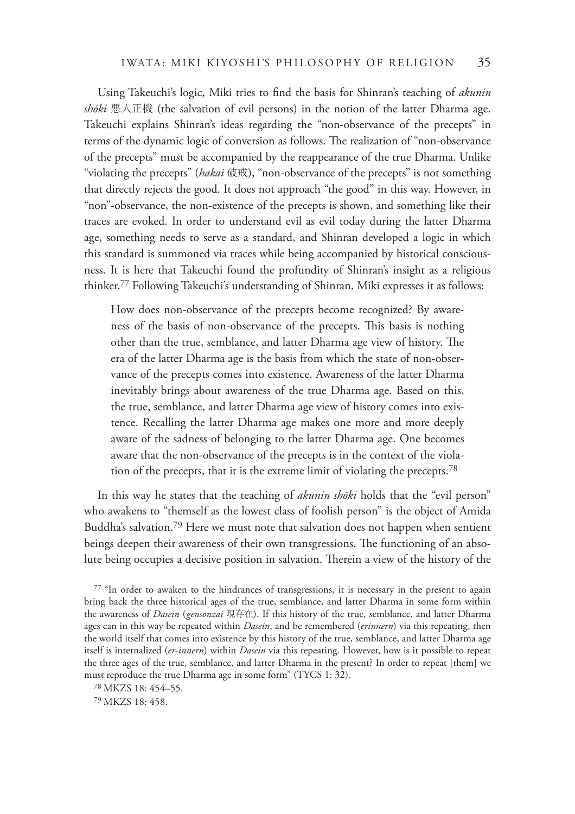Using Takeuchi's logic, Miki tries to find the basis for Shinran's teaching of *akunin shōki* 悪人正機 (the salvation of evil persons) in the notion of the latter Dharma age. Takeuchi explains Shinran's ideas regarding the "non-observance of the precepts" in terms of the dynamic logic of conversion as follows. The realization of "non-observance of the precepts" must be accompanied by the reappearance of the true Dharma. Unlike "violating the precepts" (*hakai* 破戒), "non-observance of the precepts" is not something that directly rejects the good. It does not approach "the good" in this way. However, in "non"-observance, the non-existence of the precepts is shown, and something like their traces are evoked. In order to understand evil as evil today during the latter Dharma age, something needs to serve as a standard, and Shinran developed a logic in which this standard is summoned via traces while being accompanied by historical consciousness. It is here that Takeuchi found the profundity of Shinran's insight as a religious thinker.77 Following Takeuchi's understanding of Shinran, Miki expresses it as follows:

How does non-observance of the precepts become recognized? By awareness of the basis of non-observance of the precepts. This basis is nothing other than the true, semblance, and latter Dharma age view of history. The era of the latter Dharma age is the basis from which the state of non-observance of the precepts comes into existence. Awareness of the latter Dharma inevitably brings about awareness of the true Dharma age. Based on this, the true, semblance, and latter Dharma age view of history comes into existence. Recalling the latter Dharma age makes one more and more deeply aware of the sadness of belonging to the latter Dharma age. One becomes aware that the non-observance of the precepts is in the context of the violation of the precepts, that it is the extreme limit of violating the precepts.78

In this way he states that the teaching of *akunin shōki* holds that the "evil person" who awakens to "themself as the lowest class of foolish person" is the object of Amida Buddha's salvation.79 Here we must note that salvation does not happen when sentient beings deepen their awareness of their own transgressions. The functioning of an absolute being occupies a decisive position in salvation. Therein a view of the history of the

<sup>77 &</sup>quot;In order to awaken to the hindrances of transgressions, it is necessary in the present to again bring back the three historical ages of the true, semblance, and latter Dharma in some form within the awareness of *Dasein* ( *gensonzai* 現存在). If this history of the true, semblance, and latter Dharma ages can in this way be repeated within *Dasein*, and be remembered (*erinnern*) via this repeating, then the world itself that comes into existence by this history of the true, semblance, and latter Dharma age itself is internalized (*er-innern*) within *Dasein* via this repeating. However, how is it possible to repeat the three ages of the true, semblance, and latter Dharma in the present? In order to repeat [them] we must reproduce the true Dharma age in some form" (TYCS 1: 32).

<sup>78</sup> MKZS 18: 454–55.

<sup>79</sup> MKZS 18: 458.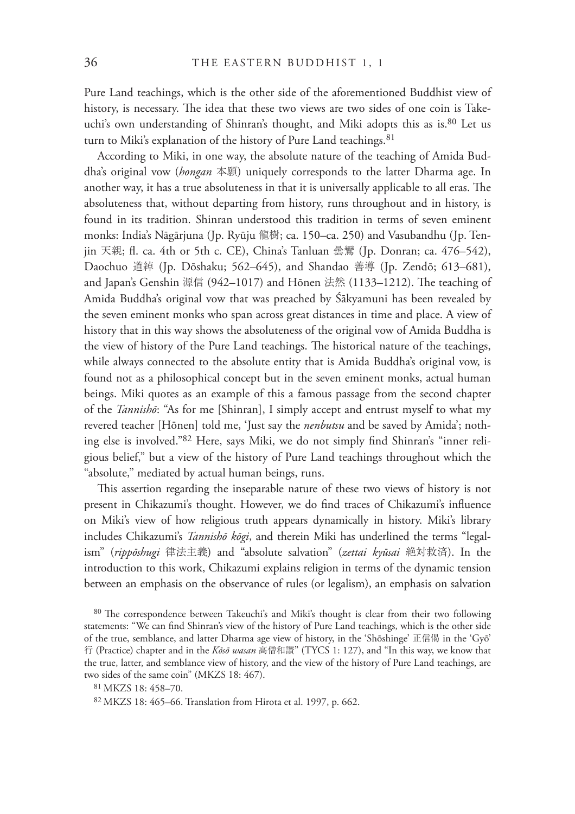Pure Land teachings, which is the other side of the aforementioned Buddhist view of history, is necessary. The idea that these two views are two sides of one coin is Takeuchi's own understanding of Shinran's thought, and Miki adopts this as is.<sup>80</sup> Let us turn to Miki's explanation of the history of Pure Land teachings.<sup>81</sup>

According to Miki, in one way, the absolute nature of the teaching of Amida Buddha's original vow (*hongan* 本願) uniquely corresponds to the latter Dharma age. In another way, it has a true absoluteness in that it is universally applicable to all eras. The absoluteness that, without departing from history, runs throughout and in history, is found in its tradition. Shinran understood this tradition in terms of seven eminent monks: India's Nāgārjuna (Jp. Ryūju 龍樹; ca. 150–ca. 250) and Vasubandhu (Jp. Tenjin 天親; fl. ca. 4th or 5th c. CE), China's Tanluan 曇鸞 (Jp. Donran; ca. 476–542), Daochuo 道綽 (Jp. Dōshaku; 562–645), and Shandao 善導 (Jp. Zendō; 613–681), and Japan's Genshin 源信 (942–1017) and Hōnen 法然 (1133–1212). The teaching of Amida Buddha's original vow that was preached by Śākyamuni has been revealed by the seven eminent monks who span across great distances in time and place. A view of history that in this way shows the absoluteness of the original vow of Amida Buddha is the view of history of the Pure Land teachings. The historical nature of the teachings, while always connected to the absolute entity that is Amida Buddha's original vow, is found not as a philosophical concept but in the seven eminent monks, actual human beings. Miki quotes as an example of this a famous passage from the second chapter of the *Tannishō*: "As for me [Shinran], I simply accept and entrust myself to what my revered teacher [Hōnen] told me, 'Just say the *nenbutsu* and be saved by Amida'; nothing else is involved."82 Here, says Miki, we do not simply find Shinran's "inner religious belief," but a view of the history of Pure Land teachings throughout which the "absolute," mediated by actual human beings, runs.

This assertion regarding the inseparable nature of these two views of history is not present in Chikazumi's thought. However, we do find traces of Chikazumi's influence on Miki's view of how religious truth appears dynamically in history. Miki's library includes Chikazumi's *Tannishō kōgi*, and therein Miki has underlined the terms "legalism" (*rippōshugi* 律法主義) and "absolute salvation" (*zettai kyūsai* 絶対救済). In the introduction to this work, Chikazumi explains religion in terms of the dynamic tension between an emphasis on the observance of rules (or legalism), an emphasis on salvation

<sup>80</sup> The correspondence between Takeuchi's and Miki's thought is clear from their two following statements: "We can find Shinran's view of the history of Pure Land teachings, which is the other side of the true, semblance, and latter Dharma age view of history, in the 'Shōshinge' 正信偈 in the 'Gyō' 行 (Practice) chapter and in the *Kōsō wasan* 高僧和讃" (TYCS 1: 127), and "In this way, we know that the true, latter, and semblance view of history, and the view of the history of Pure Land teachings, are two sides of the same coin" (MKZS 18: 467).

<sup>81</sup> MKZS 18: 458–70.

<sup>82</sup> MKZS 18: 465–66. Translation from Hirota et al. 1997, p. 662.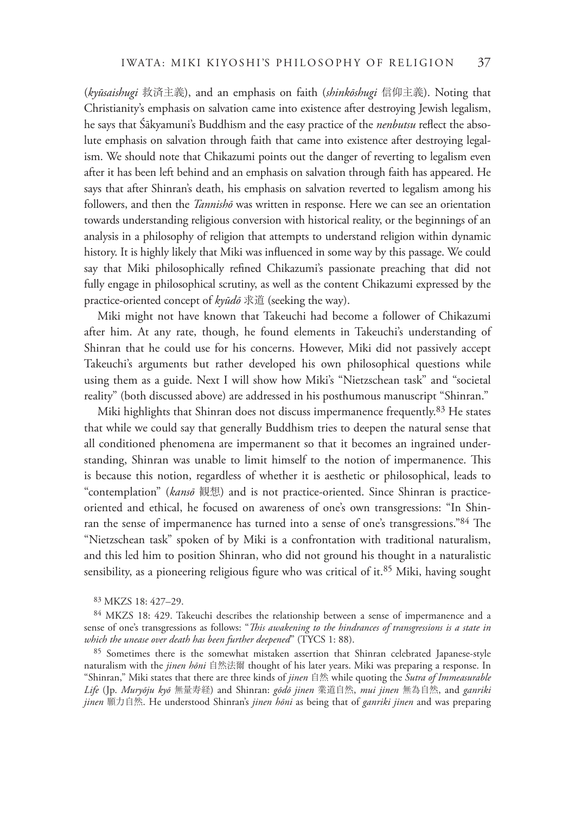(*kyūsaishugi* 救済主義), and an emphasis on faith (*shinkōshugi* 信仰主義). Noting that Christianity's emphasis on salvation came into existence after destroying Jewish legalism, he says that Śākyamuni's Buddhism and the easy practice of the *nenbutsu* reflect the absolute emphasis on salvation through faith that came into existence after destroying legalism. We should note that Chikazumi points out the danger of reverting to legalism even after it has been left behind and an emphasis on salvation through faith has appeared. He says that after Shinran's death, his emphasis on salvation reverted to legalism among his followers, and then the *Tannishō* was written in response. Here we can see an orientation towards understanding religious conversion with historical reality, or the beginnings of an analysis in a philosophy of religion that attempts to understand religion within dynamic history. It is highly likely that Miki was influenced in some way by this passage. We could say that Miki philosophically refined Chikazumi's passionate preaching that did not fully engage in philosophical scrutiny, as well as the content Chikazumi expressed by the practice-oriented concept of *kyūdō* 求道 (seeking the way).

Miki might not have known that Takeuchi had become a follower of Chikazumi after him. At any rate, though, he found elements in Takeuchi's understanding of Shinran that he could use for his concerns. However, Miki did not passively accept Takeuchi's arguments but rather developed his own philosophical questions while using them as a guide. Next I will show how Miki's "Nietzschean task" and "societal reality" (both discussed above) are addressed in his posthumous manuscript "Shinran."

Miki highlights that Shinran does not discuss impermanence frequently.83 He states that while we could say that generally Buddhism tries to deepen the natural sense that all conditioned phenomena are impermanent so that it becomes an ingrained understanding, Shinran was unable to limit himself to the notion of impermanence. This is because this notion, regardless of whether it is aesthetic or philosophical, leads to "contemplation" (*kansō* 観想) and is not practice-oriented. Since Shinran is practiceoriented and ethical, he focused on awareness of one's own transgressions: "In Shinran the sense of impermanence has turned into a sense of one's transgressions."84 The "Nietzschean task" spoken of by Miki is a confrontation with traditional naturalism, and this led him to position Shinran, who did not ground his thought in a naturalistic sensibility, as a pioneering religious figure who was critical of it.<sup>85</sup> Miki, having sought

<sup>85</sup> Sometimes there is the somewhat mistaken assertion that Shinran celebrated Japanese-style naturalism with the *jinen hōni* 自然法爾 thought of his later years. Miki was preparing a response. In "Shinran," Miki states that there are three kinds of *jinen* 自然 while quoting the *Sutra of Immeasurable Life* (Jp. *Muryōju kyō* 無量寿経) and Shinran: *gōdō jinen* 業道自然, *mui jinen* 無為自然, and *ganriki jinen* 願力自然. He understood Shinran's *jinen hōni* as being that of *ganriki jinen* and was preparing

<sup>83</sup> MKZS 18: 427–29.

<sup>84</sup> MKZS 18: 429. Takeuchi describes the relationship between a sense of impermanence and a sense of one's transgressions as follows: "This awakening to the hindrances of transgressions is a state in *which the unease over death has been further deepened*" (TYCS 1: 88).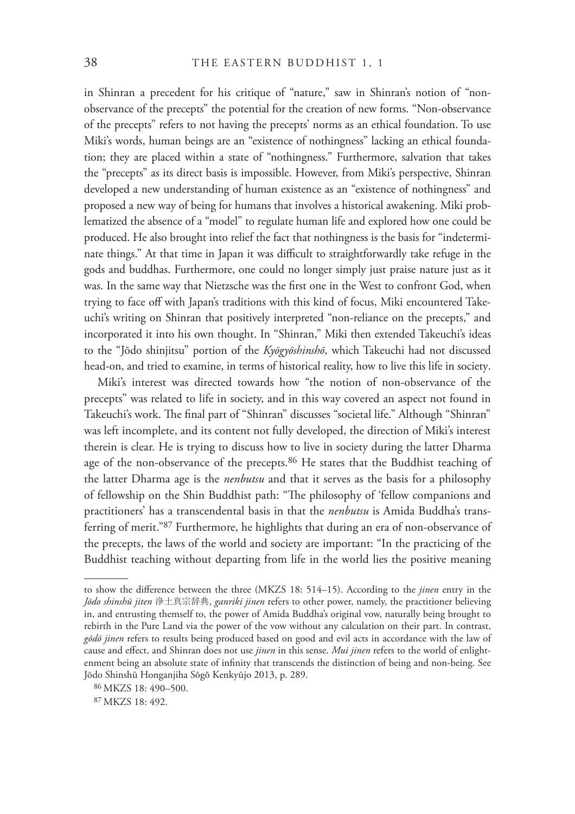in Shinran a precedent for his critique of "nature," saw in Shinran's notion of "nonobservance of the precepts" the potential for the creation of new forms. "Non-observance of the precepts" refers to not having the precepts' norms as an ethical foundation. To use Miki's words, human beings are an "existence of nothingness" lacking an ethical foundation; they are placed within a state of "nothingness." Furthermore, salvation that takes the "precepts" as its direct basis is impossible. However, from Miki's perspective, Shinran developed a new understanding of human existence as an "existence of nothingness" and proposed a new way of being for humans that involves a historical awakening. Miki problematized the absence of a "model" to regulate human life and explored how one could be produced. He also brought into relief the fact that nothingness is the basis for "indeterminate things." At that time in Japan it was difficult to straightforwardly take refuge in the gods and buddhas. Furthermore, one could no longer simply just praise nature just as it was. In the same way that Nietzsche was the first one in the West to confront God, when trying to face off with Japan's traditions with this kind of focus, Miki encountered Takeuchi's writing on Shinran that positively interpreted "non-reliance on the precepts," and incorporated it into his own thought. In "Shinran," Miki then extended Takeuchi's ideas to the "Jōdo shinjitsu" portion of the *Kyōgyōshinshō*, which Takeuchi had not discussed head-on, and tried to examine, in terms of historical reality, how to live this life in society.

Miki's interest was directed towards how "the notion of non-observance of the precepts" was related to life in society, and in this way covered an aspect not found in Takeuchi's work. The final part of "Shinran" discusses "societal life." Although "Shinran" was left incomplete, and its content not fully developed, the direction of Miki's interest therein is clear. He is trying to discuss how to live in society during the latter Dharma age of the non-observance of the precepts.<sup>86</sup> He states that the Buddhist teaching of the latter Dharma age is the *nenbutsu* and that it serves as the basis for a philosophy of fellowship on the Shin Buddhist path: "The philosophy of 'fellow companions and practitioners' has a transcendental basis in that the *nenbutsu* is Amida Buddha's transferring of merit."87 Furthermore, he highlights that during an era of non-observance of the precepts, the laws of the world and society are important: "In the practicing of the Buddhist teaching without departing from life in the world lies the positive meaning

to show the difference between the three (MKZS 18: 514-15). According to the *jinen* entry in the *Jōdo shinshū jiten* 浄土真宗辞典, *ganriki jinen* refers to other power, namely, the practitioner believing in, and entrusting themself to, the power of Amida Buddha's original vow, naturally being brought to rebirth in the Pure Land via the power of the vow without any calculation on their part. In contrast, *gōdō jinen* refers to results being produced based on good and evil acts in accordance with the law of cause and effect, and Shinran does not use *jinen* in this sense. *Mui jinen* refers to the world of enlightenment being an absolute state of infinity that transcends the distinction of being and non-being. See Jōdo Shinshū Honganjiha Sōgō Kenkyūjo 2013, p. 289.

<sup>86</sup> MKZS 18: 490–500.

<sup>87</sup> MKZS 18: 492.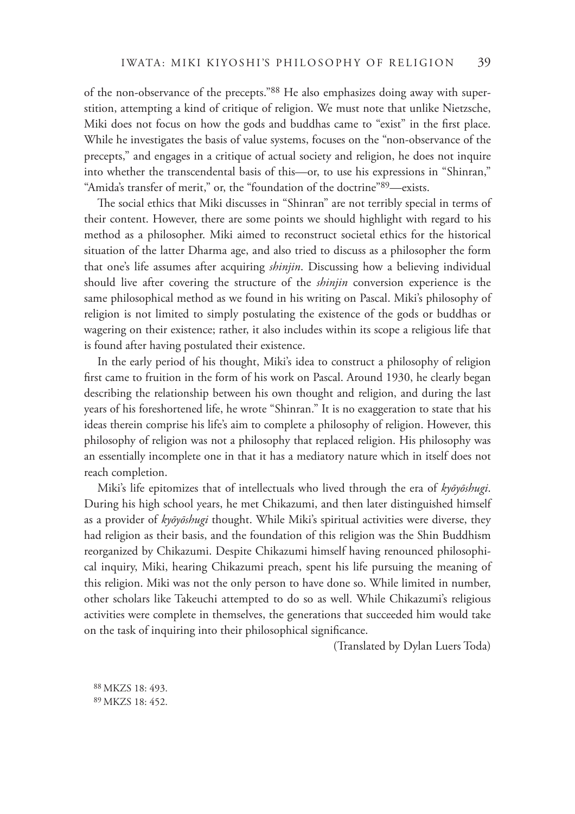of the non-observance of the precepts."88 He also emphasizes doing away with superstition, attempting a kind of critique of religion. We must note that unlike Nietzsche, Miki does not focus on how the gods and buddhas came to "exist" in the first place. While he investigates the basis of value systems, focuses on the "non-observance of the precepts," and engages in a critique of actual society and religion, he does not inquire into whether the transcendental basis of this—or, to use his expressions in "Shinran," "Amida's transfer of merit," or, the "foundation of the doctrine"<sup>89</sup>—exists.

The social ethics that Miki discusses in "Shinran" are not terribly special in terms of their content. However, there are some points we should highlight with regard to his method as a philosopher. Miki aimed to reconstruct societal ethics for the historical situation of the latter Dharma age, and also tried to discuss as a philosopher the form that one's life assumes after acquiring *shinjin*. Discussing how a believing individual should live after covering the structure of the *shinjin* conversion experience is the same philosophical method as we found in his writing on Pascal. Miki's philosophy of religion is not limited to simply postulating the existence of the gods or buddhas or wagering on their existence; rather, it also includes within its scope a religious life that is found after having postulated their existence.

In the early period of his thought, Miki's idea to construct a philosophy of religion first came to fruition in the form of his work on Pascal. Around 1930, he clearly began describing the relationship between his own thought and religion, and during the last years of his foreshortened life, he wrote "Shinran." It is no exaggeration to state that his ideas therein comprise his life's aim to complete a philosophy of religion. However, this philosophy of religion was not a philosophy that replaced religion. His philosophy was an essentially incomplete one in that it has a mediatory nature which in itself does not reach completion.

Miki's life epitomizes that of intellectuals who lived through the era of *kyōyōshugi*. During his high school years, he met Chikazumi, and then later distinguished himself as a provider of *kyōyōshugi* thought. While Miki's spiritual activities were diverse, they had religion as their basis, and the foundation of this religion was the Shin Buddhism reorganized by Chikazumi. Despite Chikazumi himself having renounced philosophical inquiry, Miki, hearing Chikazumi preach, spent his life pursuing the meaning of this religion. Miki was not the only person to have done so. While limited in number, other scholars like Takeuchi attempted to do so as well. While Chikazumi's religious activities were complete in themselves, the generations that succeeded him would take on the task of inquiring into their philosophical significance.

(Translated by Dylan Luers Toda)

88 MKZS 18: 493. 89 MKZS 18: 452.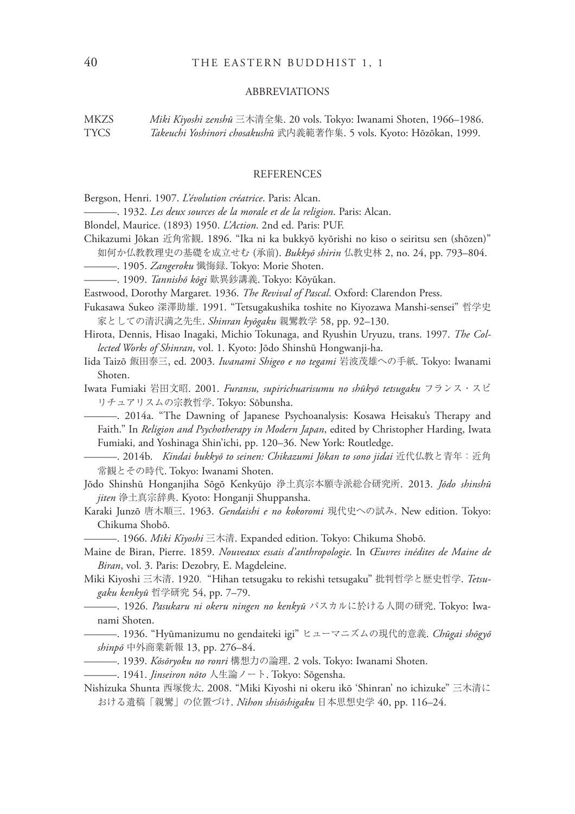#### ABBREVIATIONS

MKZS *Miki Kiyoshi zenshū* 三木清全集. 20 vols. Tokyo: Iwanami Shoten, 1966–1986. TYCS *Takeuchi Yoshinori chosakushū* 武内義範著作集. 5 vols. Kyoto: Hōzōkan, 1999.

#### REFERENCES

- Bergson, Henri. 1907. *L'évolution créatrice*. Paris: Alcan.
- ———. 1932. *Les deux sources de la morale et de la religion*. Paris: Alcan.
- Blondel, Maurice. (1893) 1950. *L'Action*. 2nd ed. Paris: PUF.
- Chikazumi Jōkan 近角常観. 1896. "Ika ni ka bukkyō kyōrishi no kiso o seiritsu sen (shōzen)"
- 如何か仏教教理史の基礎を成立せむ (承前). *Bukkyō shirin* 仏教史林 2, no. 24, pp. 793–804.
- ———. 1905. *Zangeroku* 懺悔録. Tokyo: Morie Shoten.
- ———. 1909. *Tannishō kōgi* 歎異鈔講義. Tokyo: Kōyūkan.

Eastwood, Dorothy Margaret. 1936. *The Revival of Pascal*. Oxford: Clarendon Press.

- Fukasawa Sukeo 深澤助雄. 1991. "Tetsugakushika toshite no Kiyozawa Manshi-sensei" 哲学史 家としての清沢満之先生. *Shinran kyōgaku* 親鸞教学 58, pp. 92–130.
- Hirota, Dennis, Hisao Inagaki, Michio Tokunaga, and Ryushin Uryuzu, trans. 1997. *The Collected Works of Shinran*, vol. 1. Kyoto: Jōdo Shinshū Hongwanji-ha.
- Iida Taizō 飯田泰三, ed. 2003. *Iwanami Shigeo e no tegami* 岩波茂雄への手紙. Tokyo: Iwanami Shoten.
- Iwata Fumiaki 岩田文昭. 2001. *Furansu, supirichuarisumu no shūkyō tetsugaku* フランス・スピ リチュアリスムの宗教哲学. Tokyo: Sōbunsha.

———. 2014a. "The Dawning of Japanese Psychoanalysis: Kosawa Heisaku's Therapy and Faith." In *Religion and Psychotherapy in Modern Japan*, edited by Christopher Harding, Iwata Fumiaki, and Yoshinaga Shin'ichi, pp. 120–36. New York: Routledge.

———. 2014b. *Kindai bukkyō to seinen: Chikazumi Jōkan to sono jidai* 近代仏教と青年:近角 常観とその時代. Tokyo: Iwanami Shoten.

Jōdo Shinshū Honganjiha Sōgō Kenkyūjo 浄土真宗本願寺派総合研究所. 2013. *Jōdo shinshū jiten* 浄土真宗辞典. Kyoto: Honganji Shuppansha.

Karaki Junzō 唐木順三. 1963. *Gendaishi e no kokoromi* 現代史への試み. New edition. Tokyo: Chikuma Shobō.

———. 1966. *Miki Kiyoshi* 三木清. Expanded edition. Tokyo: Chikuma Shobō.

- Maine de Biran, Pierre. 1859. *Nouveaux essais d'anthropologie*. In *Œuvres inédites de Maine de Biran*, vol. 3. Paris: Dezobry, E. Magdeleine.
- Miki Kiyoshi 三木清. 1920."Hihan tetsugaku to rekishi tetsugaku" 批判哲学と歴史哲学. *Tetsugaku kenkyū* 哲学研究 54, pp. 7–79.

———. 1926. *Pasukaru ni okeru ningen no kenkyū* パスカルに於ける人間の研究. Tokyo: Iwanami Shoten.

———. 1936. "Hyūmanizumu no gendaiteki igi" ヒューマニズムの現代的意義. *Chūgai shōgyō shinpō* 中外商業新報 13, pp. 276–84.

———. 1939. *Kōsōryoku no ronri* 構想力の論理. 2 vols. Tokyo: Iwanami Shoten.

———. 1941. *Jinseiron nōto* 人生論ノート. Tokyo: Sōgensha.

Nishizuka Shunta 西塚俊太. 2008. "Miki Kiyoshi ni okeru ikō 'Shinran' no ichizuke" 三木清に おける遺稿「親鸞」の位置づけ. *Nihon shisōshigaku* 日本思想史学 40, pp. 116–24.